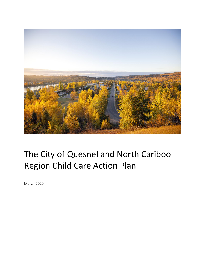

# The City of Quesnel and North Cariboo Region Child Care Action Plan

March 2020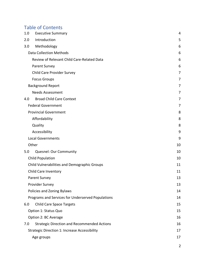# Table of Contents

| 1.0 | <b>Executive Summary</b>                             | 4  |
|-----|------------------------------------------------------|----|
| 2.0 | Introduction                                         | 5  |
| 3.0 | Methodology                                          | 6  |
|     | <b>Data Collection Methods</b>                       | 6  |
|     | Review of Relevant Child Care-Related Data           | 6  |
|     | Parent Survey                                        | 6  |
|     | <b>Child Care Provider Survey</b>                    | 7  |
|     | <b>Focus Groups</b>                                  | 7  |
|     | <b>Background Report</b>                             | 7  |
|     | <b>Needs Assessment</b>                              | 7  |
| 4.0 | <b>Broad Child Care Context</b>                      | 7  |
|     | <b>Federal Government</b>                            | 7  |
|     | <b>Provincial Government</b>                         | 8  |
|     | Affordability                                        | 8  |
|     | Quality                                              | 8  |
|     | Accessibility                                        | 9  |
|     | <b>Local Governments</b>                             | 9  |
|     | Other                                                | 10 |
| 5.0 | Quesnel: Our Community                               | 10 |
|     | <b>Child Population</b>                              | 10 |
|     | Child Vulnerabilities and Demographic Groups         | 11 |
|     | <b>Child Care Inventory</b>                          | 11 |
|     | Parent Survey                                        | 13 |
|     | Provider Survey                                      | 13 |
|     | Policies and Zoning Bylaws                           | 14 |
|     | Programs and Services for Underserved Populations    | 14 |
| 6.0 | <b>Child Care Space Targets</b>                      | 15 |
|     | Option 1: Status Quo                                 | 15 |
|     | Option 2: BC Average                                 | 16 |
| 7.0 | <b>Strategic Direction and Recommended Actions</b>   | 16 |
|     | <b>Strategic Direction 1: Increase Accessibility</b> | 17 |
|     | Age groups                                           | 17 |
|     |                                                      |    |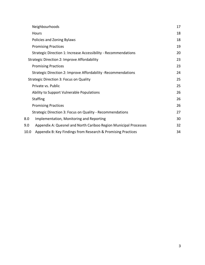|      | Neighbourhoods                                                   | 17 |
|------|------------------------------------------------------------------|----|
|      | Hours                                                            | 18 |
|      | Policies and Zoning Bylaws                                       | 18 |
|      | <b>Promising Practices</b>                                       | 19 |
|      | Strategic Direction 1: Increase Accessibility - Recommendations  | 20 |
|      | Strategic Direction 2: Improve Affordability                     | 23 |
|      | <b>Promising Practices</b>                                       | 23 |
|      | Strategic Direction 2: Improve Affordability -Recommendations    | 24 |
|      | <b>Strategic Direction 3: Focus on Quality</b>                   | 25 |
|      | Private vs. Public                                               | 25 |
|      | Ability to Support Vulnerable Populations                        | 26 |
|      | <b>Staffing</b>                                                  | 26 |
|      | <b>Promising Practices</b>                                       | 26 |
|      | Strategic Direction 3: Focus on Quality - Recommendations        | 27 |
| 8.0  | Implementation, Monitoring and Reporting                         | 30 |
| 9.0  | Appendix A: Quesnel and North Cariboo Region Municipal Processes | 32 |
| 10.0 | Appendix B: Key Findings from Research & Promising Practices     | 34 |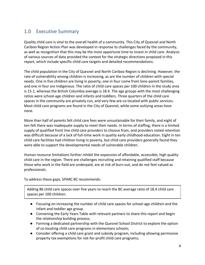# <span id="page-3-0"></span>1.0 Executive Summary

Quality child care is vital to the overall health of a community. This City of Quesnel and North Cariboo Region Action Plan was developed in response to challenges faced by the community, as well as recognition that this may be the most opportune time to invest in child care. Analysis of various sources of data provided the context for the strategic directions proposed in this report, which include specific child care targets and detailed recommendations.

The child population in the City of Quesnel and North Cariboo Region is declining. However, the rate of vulnerability among children is increasing, as are the number of children with special needs. One in five children are living in poverty, one in four come from lone-parent families, and one in four are Indigenous. The ratio of child care spaces per 100 children in the study area is 15.1, whereas the British Columbia average is 18.4. The age groups with the most challenging ratios were school-age children and infants and toddlers. Three quarters of the child care spaces in the community are privately run, and very few are co-located with public services. Most child care programs are found in the City of Quesnel, while some outlying areas have none.

More than half of parents felt child care fees were unsustainable for their family, and eight of ten felt there was inadequate supply to meet their needs. In terms of staffing, there is a limited supply of qualified front line child care providers to choose from, and providers noted retention was difficult because of a lack of full-time work in quality early childhood education. Eight in ten child care facilities had children living in poverty, but child care providers generally found they were able to support the developmental needs of vulnerable children.

Human resource limitations further inhibit the expansion of affordable, accessible, high quality child care in the region. There are challenges recruiting and retaining qualified staff because those who work in the field are underpaid, are at risk of burn out, and do not feel valued as professionals.

To address these gaps, SPARC BC recommends:

Adding 86 child care spaces over five years to reach the BC average ratio of 18.4 child care spaces per 100 children.

- Focusing on increasing the number of child care spaces for school-age children and the infant and toddler age group.
- Convening the Early Years Table with relevant partners to share this report and begin the relationship building process;
- Forming a dedicated partnership with the Quesnel School District to explore the option of co-locating child care programs in elementary schools;
- Consider offering a child care grant and subsidy program, including allowing permissive property tax exemptions for not-for-profit child care programs;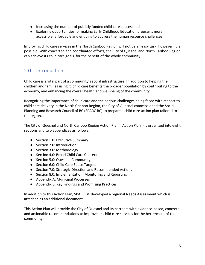- Increasing the number of publicly funded child care spaces; and
- Exploring opportunities for making Early Childhood Education programs more accessible, affordable and enticing to address the human resource challenges.

Improving child care services in the North Cariboo Region will not be an easy task; however, it is possible. With concerted and coordinated efforts, the City of Quesnel and North Cariboo Region can achieve its child care goals, for the benefit of the whole community.

# <span id="page-4-0"></span>2.0 Introduction

Child care is a vital part of a community's social infrastructure. In addition to helping the children and families using it, child care benefits the broader population by contributing to the economy, and enhancing the overall health and well-being of the community.

Recognizing the importance of child care and the serious challenges being faced with respect to child care delivery in the North Cariboo Region, the City of Quesnel commissioned the Social Planning and Research Council of BC (SPARC BC) to prepare a child care action plan tailored to the region.

The City of Quesnel and North Cariboo Region Action Plan ("Action Plan") is organized into eight sections and two appendices as follows:

- Section 1.0: Executive Summary
- Section 2.0: Introduction
- Section 3.0: Methodology
- Section 4.0: Broad Child Care Context
- Section 5.0: Quesnel: Community
- Section 6.0: Child Care Space Targets
- Section 7.0: Strategic Direction and Recommended Actions
- Section 8.0: Implementation, Monitoring and Reporting
- Appendix A: Municipal Processes
- Appendix B: Key Findings and Promising Practices

In addition to this Action Plan, SPARC BC developed a regional Needs Assessment which is attached as an additional document.

This Action Plan will provide the City of Quesnel and its partners with evidence-based, concrete and actionable recommendations to improve its child care services for the betterment of the community.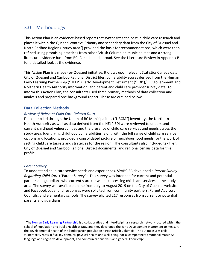# <span id="page-5-0"></span>3.0 Methodology

This Action Plan is an evidence-based report that synthesizes the best in child care research and places it within the Quesnel context. Primary and secondary data from the City of Quesnel and North Cariboo Region ("study area") provided the basis for recommendations, which were then refined using promising practices from other British Columbian municipalities and a strong literature evidence base from BC, Canada, and abroad. See the Literature Review in Appendix B for a detailed look at the evidence.

This Action Plan is a made-for-Quesnel initiative. It draws upon relevant Statistics Canada data, City of Quesnel and Cariboo Regional District files, vulnerability scores derived from the Human Early Learning Partnership ("HELP") Early Development Instrument ("EDI"),<sup>1</sup> BC government and Northern Health Authority information, and parent and child care provider survey data. To inform this Action Plan, the consultants used three primary methods of data collection and analysis and prepared one background report. These are outlined below.

#### <span id="page-5-1"></span>**Data Collection Methods**

#### <span id="page-5-2"></span>*Review of Relevant Child Care-Related Data*

Data compiled through the Union of BC Municipalities ("UBCM") Inventory, the Northern Health Authority as well as data derived from the HELP EDI were reviewed to understand current childhood vulnerabilities and the presence of child care services and needs across the study area. Identifying childhood vulnerabilities, along with the full range of child care service options and locations, provided a consolidated picture of neighbourhood needs for the work of setting child care targets and strategies for the region. The consultants also included tax filer, City of Quesnel and Cariboo Regional District documents, and regional census data for this profile.

#### <span id="page-5-3"></span>*Parent Survey*

To understand child care service needs and experiences, SPARC BC developed a *Parent Survey Regarding Child Care* ("Parent Survey"). This survey was intended for current and potential parents and guardians who currently are (or will be) accessing child care services in the study area. The survey was available online from July to August 2019 on the City of Quesnel website and Facebook page, and responses were solicited from community partners, Parent Advisory Councils, and elementary schools. The survey elicited 217 responses from current or potential parents and guardians.

<sup>&</sup>lt;sup>1</sup> Th[e Human Early Learning Partnership](http://earlylearning.ubc.ca/) is a collaborative and interdisciplinary research network located within the School of Population and Public Health at UBC, and they developed the Early Development Instrument to measure the developmental health of the kindergarten population across British Columbia. The EDI measures child vulnerability rates in five key domains: physical health and well-being, social competence; emotional maturity; language and cognitive development; and communications skills and general knowledge.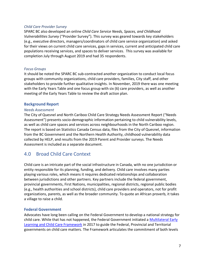#### <span id="page-6-0"></span>*Child Care Provider Survey*

SPARC BC also developed an online *Child Care Service Needs, Spaces, and Childhood Vulnerabilities Survey* ("Provider Survey"). This survey was geared towards key stakeholders (e.g., executive directors, managers/coordinators of child care service organization) and asked for their views on current child care services, gaps in services, current and anticipated child care populations receiving services, and spaces to deliver services. This survey was available for completion July through August 2019 and had 35 respondents.

#### <span id="page-6-1"></span>*Focus Groups*

It should be noted the SPARC BC sub-contracted another organization to conduct local focus groups with community organizations, child care providers, families, City staff, and other stakeholders to provide further qualitative insights. In November, 2019 there was one meeting with the Early Years Table and one focus group with six (6) care providers, as well as another meeting of the Early Years Table to review the draft action plan.

#### <span id="page-6-2"></span>**Background Report**

#### <span id="page-6-3"></span>*Needs Assessment*

The City of Quesnel and North Cariboo Child Care Strategy Needs Assessment Report ("Needs Assessment") presents socio-demographic information pertaining to child vulnerability levels, as well as child care spaces and services across neighbourhoods in the North Cariboo region. The report is based on Statistics Canada Census data, files from the City of Quesnel, information from the BC Government and the Northern Health Authority, childhood vulnerability data collected by HELP, and results from the 2019 Parent and Provider surveys. The Needs Assessment is included as a separate document.

# <span id="page-6-4"></span>4.0 Broad Child Care Context

Child care is an intricate part of the social infrastructure in Canada, with no one jurisdiction or entity responsible for its planning, funding, and delivery. Child care involves many parties playing various roles, which means it requires dedicated relationships and collaboration between jurisdictions and other partners. Key partners include the federal government, provincial governments, First Nations, municipalities, regional districts, regional public bodies (e.g., health authorities and school districts), child care providers and operators, not for profit organizations, parents, as well as the broader community. To quote an African proverb, it takes a village to raise a child.

#### <span id="page-6-5"></span>**Federal Government**

Advocates have long been calling on the Federal Government to develop a national strategy for child care. While that has not happened, the Federal Government initiated a [Multilateral Early](https://www.canada.ca/en/employment-social-development/programs/early-learning-child-care/reports/2017-multilateral-framework.html#h2.5)  [Learning and Child Care Framework](https://www.canada.ca/en/employment-social-development/programs/early-learning-child-care/reports/2017-multilateral-framework.html#h2.5) in 2017 to guide the Federal, Provincial and Territorial governments on child care matters. The Framework articulates the commitment of both levels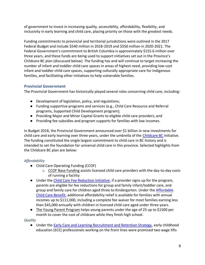of government to invest in increasing quality, accessibility, affordability, flexibility, and inclusivity in early learning and child care, placing priority on those with the greatest needs.

Funding commitments to provincial and territorial jurisdictions were outlined in the 2017 Federal Budget and include \$540 million in 2018-2019 and \$550 million in 2020-2021. The Federal Government's commitment to British Columbia is approximately \$155.6 million over three years, and these funds are being used to support initiatives set out in the Province's Childcare BC plan (discussed below). The funding has and will continue to target increasing the number of infant and toddler child care spaces in areas of highest need, providing low-cost infant and toddler child care spaces, supporting culturally appropriate care for Indigenous families, and facilitating other initiatives to help vulnerable families.

# <span id="page-7-0"></span>**Provincial Government**

The Provincial Government has historically played several roles concerning child care, including:

- Development of legislation, policy, and regulations;
- Funding supportive programs and services (e.g., Child Care Resource and Referral programs, Supported Child Development program);
- Providing Major and Minor Capital Grants to eligible child care providers; and
- Providing fee subsidies and program supports for families with low incomes.

In Budget 2018, the Provincial Government announced over \$1 billion in new investments for child care and early learning over three years, under the umbrella of the [Childcare BC](https://www2.gov.bc.ca/gov/content/family-social-supports/caring-for-young-children?utm_campaign=20191025_MCFD_AM_CHILD_1__ADW_BCGOV_EN_BC__TEXT) initiative. The funding constituted the single largest commitment to child care in BC history and is intended to set the foundation for universal child care in this province. Selected highlights from the Childcare BC plan are below:

# <span id="page-7-1"></span>*Affordability*

- Child Care Operating Funding (CCOF)
	- $\circ$  CCOF Base Funding assists licensed child care providers with the day-to-day costs of running a facility
- Under the [Child Care Fee Reduction Initiative,](https://www2.gov.bc.ca/gov/content/family-social-supports/caring-for-young-children/running-daycare-preschool/child-care-operating-funding/child-care-fee-reduction-initiative-provider-opt-in-status) if a provider signs up for the program, parents are eligible for fee reductions for group and family infant/toddler care, and group and family care for children aged three to Kindergarten. Under the [Affordable](https://www2.gov.bc.ca/gov/content/family-social-supports/caring-for-young-children/child-care-funding/child-care-benefit?keyword=affordable&keyword=child&keyword=care&keyword=benefit)  [Child Care Benefit,](https://www2.gov.bc.ca/gov/content/family-social-supports/caring-for-young-children/child-care-funding/child-care-benefit?keyword=affordable&keyword=child&keyword=care&keyword=benefit) additional affordability relief is available for families with annual incomes up to \$111,000, including a complete fee waiver for most families earning less than \$45,000 annually with children in licensed child care aged under three years.
- The Young Parent Program helps young parents under the age of 25 up to \$1500 per month to cover the cost of childcare while they finish high school.

#### <span id="page-7-2"></span>*Quality*

● Under the [Early Care and Learning Recruitment and Retention Strategy,](https://www2.gov.bc.ca/assets/gov/family-and-social-supports/child-care/6337_earlycareandlearningrecruitment_andretentionstrategy_report_web.pdf?bcgovtm=20191025_MCFD_AM_CHILD_1__ADW_BCGOV_EN_BC__TEXT) early childhood education (ECE) professionals working on the front lines were promised two wage lifts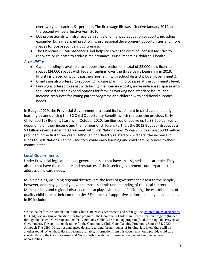over two years each at \$1 per hour. The first wage lift was effective January 2019, and the second will be effective April 2020.

- ECE professionals will also receive a range of enhanced education supports, including expanded bursaries, paid practicums, professional development opportunities and more spaces for post-secondary ECE training.
- The Childcare BC Maintenance Fund helps to cover the costs of licensed facilities to renovate or relocate to address maintenance issues impacting children's health.

### <span id="page-8-0"></span>*Accessibility*

- Capital funding is available to support the creation of a total of 22,000 new licensed spaces (24,000 spaces with federal funding) over the three years beginning in 2019. Priority is placed on public partnerships (e.g., with school districts, local governments).
- Grants are also offered to support child care planning processes at the community level.
- Funding is offered to assist with facility maintenance costs, move unlicensed spaces into the licensed sector, expand options for families working non-standard hours, and increase resources for young parent programs and children with additional support needs.

In Budget 2019, the Provincial Government increased its investment in child care and early learning by announcing the BC Child Opportunity Benefit, which replaces the previous Early Childhood Tax Benefit. Starting in October 2020, families could receive up to \$3,600 per year, depending on their income and the number of children. Further, the 2019 Budget introduces a \$3 billion revenue-sharing agreement with First Nations over 25 years, with almost \$300 million provided in the first three years. Although not directly related to child care, the increase in funds to First Nations' can be used to provide early learning and child care resources to their communities.

# <span id="page-8-1"></span>**Local Governments**

Under Provincial legislation, local governments do not have an assigned child care role. They also do not have the mandate and resources of their senior government counterparts to address child care needs.

Municipalities, including regional districts, are the level of government closest to the people, however, and they generally have the most in depth understanding of the local context. Municipalities and regional districts can also play a vital role in facilitating the establishment of quality child care in their communities.<sup>2</sup> Examples of supportive actions taken by municipalities in BC include:

<sup>&</sup>lt;sup>2</sup> Note that before the completion of this Child Care Needs Assessment and Strategy, the *[Union of BC Municipalities](https://www.ubcm.ca/EN/main/funding/lgps/child-care.html)* (UBCM) was inviting applications for two programs: the Community Child Care Space Creation program (funded through the Federal Government) and the Community Child Care Planning program (funded through the Provincial Government). The application deadline for the Community Child Care Planning Program is January 31, 2020. Although The UBC-M has not announced details regarding further rounds of funding, it is likely there will be another round. When those details become available, information from this document should provide child care stakeholders in the City of Quesnel and North Cariboo with the information they require to pursue these opportunities.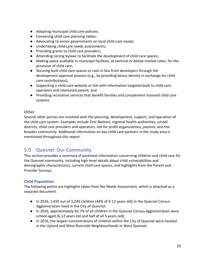- Adopting municipal child care policies;
- Convening child care planning tables;
- Advocating to senior governments on local child care needs;
- Undertaking child care needs assessments;
- Providing grants to child care providers;
- Amending zoning bylaws to facilitate the development of child care spaces;
- Making space available in municipal facilities, at nominal or below-market rates, for the provision of child care;
- Securing built child care spaces or cash in lieu from developers through the development approval process (e.g., by providing bonus density in exchange for child care contributions);
- Supporting a child care website or link with information targeted both to child care operators and interested parent; and
- Providing recreation services that benefit families and complement licensed child care systems.

### <span id="page-9-0"></span>**Other**

Several other parties are involved with the planning, development, support, and operation of the child care system. Examples include First Nations, regional health authorities, school districts, child care providers and operators, not for profit organizations, parents, and the broader community. Additional information on key child care partners in the study area is mentioned throughout this report.

# <span id="page-9-1"></span>5.0 Quesnel: Our Community

This section provides a summary of pertinent information concerning children and child care for the Quesnel community, including high-level details about child vulnerabilities and demographic characteristics, current child care spaces, and highlights from the Parent and Provider Surveys.

# <span id="page-9-2"></span>**Child Population**

The following points are highlights taken from the Needs Assessment, which is attached as a separate document.

- In 2016, 1,435 out of 3,240 children (44% of 0-12 years old) in the Quesnel Census Agglomeration lived in the City of Quesnel;
- In 2016, approximately 62.7% of all children in the Quesnel Census Agglomeration were school-aged (6-12 years old and half of all 5 years old);
- In 2016, the largest concentrations of children within the City of Quesnel were located in the Upland and West Riverside Neighbourhoods in West Quesnel;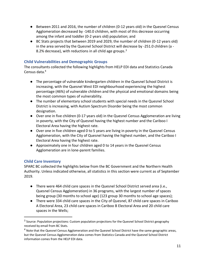- Between 2011 and 2016, the number of children (0-12 years old) in the Quesnel Census Agglomeration decreased by -140.0 children, with most of this decrease occurring among the infant and toddler (0-2 years old) population; and
- BC Stats projects that between 2019 and 2029, the number of children (0-12 years old) in the area served by the Quesnel School District will decrease by -251.0 children (a - 8.2% decrease), with reductions in all child age groups.<sup>3</sup>

# <span id="page-10-0"></span>**Child Vulnerabilities and Demographic Groups**

The consultants collected the following highlights from HELP EDI data and Statistics Canada Census data.<sup>4</sup>

- The percentage of vulnerable kindergarten children in the Quesnel School District is increasing, with the Quesnel West EDI neighbourhood experiencing the highest percentage (46%) of vulnerable children and the physical and emotional domains being the most common types of vulnerability.
- The number of elementary school students with special needs in the Quesnel School District is increasing, with Autism Spectrum Disorder being the most common designation.
- Over one in five children (0-17 years old) in the Quesnel Census Agglomeration are living in poverty, with the City of Quesnel having the highest number and the Cariboo I Electoral Area having the highest rate.
- Over one in five children aged 0 to 5 years are living in poverty in the Quesnel Census Agglomeration, with the City of Quesnel having the highest number, and the Cariboo I Electoral Area having the highest rate.
- Approximately one in four children aged 0 to 14 years in the Quesnel Census Agglomeration are in lone-parent families.

# <span id="page-10-1"></span>**Child Care Inventory**

SPARC BC collected the highlights below from the BC Government and the Northern Health Authority. Unless indicated otherwise, all statistics in this section were current as of September 2019.

- There were 464 child care spaces in the Quesnel School District served area (i.e., Quesnel Census Agglomeration) in 36 programs, with the largest number of spaces being group (30 months to school age) (123 group 30 months to school age spaces);
- There were 334 child care spaces in the City of Quesnel, 87 child care spaces in Cariboo A Electoral Area, 23 child care spaces in Cariboo B Electoral Area and 20 child care spaces in the Wells;

<sup>&</sup>lt;sup>3</sup> Source: Population projections: Custom population projections for the Quesnel School District geography received by email from BC Stats.

<sup>&</sup>lt;sup>4</sup> Note that the Quesnel Census Agglomeration and the Quesnel School District have the same geographic areas, but the Quesnel Census Agglomeration data comes from Statistics Canada and the Quesnel School District information comes from the HELP EDI data.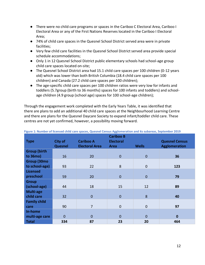- There were no child care programs or spaces in the Cariboo C Electoral Area, Cariboo I Electoral Area or any of the First Nations Reserves located in the Cariboo I Electoral Area;
- 74% of child care spaces in the Quesnel School District served area were in private facilities;
- Very few child care facilities in the Quesnel School District served area provide special schedule accommodations;
- Only 1 in 12 Quesnel School District public elementary schools had school-age group child care spaces located on-site;
- The Quesnel School District area had 15.1 child care spaces per 100 children (0-12 years old) which was lower than both British Columbia (18.4 child care spaces per 100 children) and Canada (27.2 child care spaces per 100 children);
- The age-specific child care spaces per 100 children ratios were very low for infants and toddlers (5.7group (birth to 36 months) spaces for 100 infants and toddlers) and schoolage children (4.9 group (school age) spaces for 100 school-age children);

Through the engagement work completed with the Early Years Table, it was identified that there are plans to add an additional 40 child care spaces at the Neighbourhood Learning Centre and there are plans for the Quesnel Daycare Society to expand infant/toddler child care. These centres are not yet confirmed, however, a possibility moving forward.

| <b>Type</b>         | <b>City of</b><br>Quesnel | <b>Cariboo A</b><br><b>Electoral Area</b> | <b>Cariboo B</b><br><b>Electoral</b><br><b>Area</b> | <b>Wells</b> | <b>Quesnel Census</b><br><b>Agglomeration</b> |
|---------------------|---------------------------|-------------------------------------------|-----------------------------------------------------|--------------|-----------------------------------------------|
| <b>Group (birth</b> |                           |                                           |                                                     |              |                                               |
| to 36mo)            | 16                        | 20                                        | $\mathbf{0}$                                        | $\mathbf 0$  | 36                                            |
| Group (30mo         |                           |                                           |                                                     |              |                                               |
| to school-age)      | 93                        | 22                                        | 8                                                   | $\mathbf 0$  | 123                                           |
| <b>Licensed</b>     |                           |                                           |                                                     |              |                                               |
| preschool           | 59                        | 20                                        | $\overline{0}$                                      | $\mathbf{0}$ | 79                                            |
| <b>Group</b>        |                           |                                           |                                                     |              |                                               |
| (school-age)        | 44                        | 18                                        | 15                                                  | 12           | 89                                            |
| <b>Multi-age</b>    |                           |                                           |                                                     |              |                                               |
| child care          | 32                        | $\mathbf{0}$                              | $\mathbf{0}$                                        | 8            | 40                                            |
| <b>Family child</b> |                           |                                           |                                                     |              |                                               |
| care                | 90                        | $\overline{7}$                            | $\mathbf 0$                                         | $\mathbf 0$  | 97                                            |
| In-home             |                           |                                           |                                                     |              |                                               |
| multi-age care      | $\Omega$                  | $\overline{0}$                            | $\overline{0}$                                      | $\mathbf{0}$ | $\mathbf 0$                                   |
| <b>Total</b>        | 334                       | 87                                        | 23                                                  | 20           | 464                                           |

#### **Figure 1: Number of licensed child care spaces, Quesnel Census Agglomeration and its subareas, September 2019**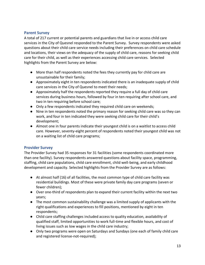### <span id="page-12-0"></span>**Parent Survey**

A total of 217 current or potential parents and guardians that live in or access child care services in the City of Quesnel responded to the Parent Survey. Survey respondents were asked questions about their child care service needs including their preferences on child care schedule and locations, their views on the adequacy of the supply of child care, reasons for seeking child care for their child, as well as their experiences accessing child care services. Selected highlights from the Parent Survey are below:

- More than half respondents noted the fees they currently pay for child care are unsustainable for their family;
- Approximately eight in ten respondents indicated there is an inadequate supply of child care services in the City of Quesnel to meet their needs;
- Approximately half the respondents reported they require a full day of child care services during business hours, followed by four in ten requiring after school care, and two in ten requiring before school care;
- Only a few respondents indicated they required child care on weekends;
- Nine in ten respondents noted the primary reason for seeking child care was so they can work, and four in ten indicated they were seeking child care for their child's development;
- Almost one in four parents indicate their youngest child is on a waitlist to access child care. However, seventy-eight percent of respondents noted their youngest child was not on a waiting list of child care programs;

#### <span id="page-12-1"></span>**Provider Survey**

The Provider Survey had 35 responses for 31 facilities (some respondents coordinated more than one facility). Survey respondents answered questions about facility space, programming, staffing, child care populations, child care enrollment, child well-being, and early childhood development and capacity. Selected highlights from the Provider Survey are as follows:

- At almost half (16) of all facilities, the most common type of child care facility was residential buildings. Most of these were private family day care programs (seven or fewer children);
- Over one-third of respondents plan to expand their current facility within the next two years;
- The most common sustainability challenge was a limited supply of applicants with the right qualifications and experiences to fill positions, mentioned by eight in ten respondents;
- Child care staffing challenges included access to quality education, availability of qualified staff, limited opportunities to work full-time and flexible hours, and cost of living issues such as low wages in the child care industry;
- Only two programs were open on Saturdays and Sundays (one each of family child care and registered license-not-required);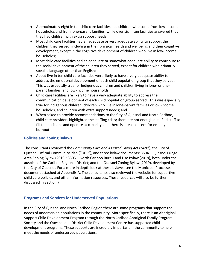- Approximately eight in ten child care facilities had children who come from low-income households and from lone-parent families, while over six in ten facilities answered that they had children with extra support needs;
- Most child care facilities had an adequate or very adequate ability to support the children they served, including in their physical health and wellbeing and their cognitive development, except in the cognitive development of children who live in low-income households;
- Most child care facilities had an adequate or somewhat adequate ability to contribute to the social development of the children they served, except for children who primarily speak a language other than English;
- About five in ten child care facilities were likely to have a very adequate ability to address the emotional development of each child population group that they served. This was especially true for Indigenous children and children living in lone- or oneparent families, and low-income households;
- Child care facilities are likely to have a very adequate ability to address the communication development of each child population group served. This was especially true for Indigenous children, children who live in lone-parent families or low-income households, and children with extra support needs; and
- When asked to provide recommendations to the City of Quesnel and North Cariboo, child care providers highlighted the staffing crisis; there are not enough qualified staff to fill the positions and operate at capacity, and there is a real concern for employee burnout.

# <span id="page-13-0"></span>**Policies and Zoning Bylaws**

The consultants reviewed the *Community Care and Assisted Living Act* ("*Act"*); the City of Quesnel Official Community Plan ("OCP"), and three bylaw documents: 3504 – Quesnel Fringe Area Zoning Bylaw (2019); 3505 – North Cariboo Rural Land Use Bylaw (2019), both under the auspice of the Cariboo Regional District; and the Quesnel Zoning Bylaw (2019), developed by the City of Quesnel. For a more in depth look at these bylaws, see the Municipal Processes document attached at Appendix A. The consultants also reviewed the website for supportive child care policies and other information resources. These resources will also be further discussed in Section 7.

# <span id="page-13-1"></span>**Programs and Services for Underserved Populations**

In the City of Quesnel and North Cariboo Region there are some programs that support the needs of underserved populations in the community. More specifically, there is an Aboriginal Support Child Development Program through the North Cariboo Aboriginal Family Program Society and the Quesnel and District Child Development Centre has supported child development programs. These supports are incredibly important in the community to help meet the needs of underserved populations.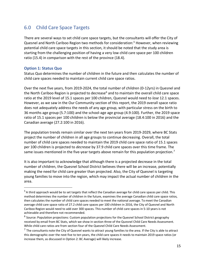# <span id="page-14-0"></span>6.0 Child Care Space Targets

There are several ways to set child care space targets, but the consultants will offer the City of Quesnel and North Cariboo Region two methods for consideration:<sup>5</sup> However, when reviewing potential child care space targets in this section, it should be noted that the study area is starting from the challenging position of having a very low child care space per 100 children ratio (15.4) in comparison with the rest of the province (18.4).

#### <span id="page-14-1"></span>**Option 1: Status Quo**

Status Quo determines the number of children in the future and then calculates the number of child care spaces needed to maintain current child care space ratios.

Over the next five years, from 2019-2024, the total number of children (0-12yrs) in Quesnel and the North Cariboo Region is projected to decrease<sup>6</sup> and to maintain the overall child care space ratio at the 2019 level of 15.1 spaces per 100 children, Quesnel would need to *lose* 12.1 spaces. However, as we saw in the Our Community section of this report, the 2019 overall space ratio does not adequately address the needs of any age group, with particular stress on the birth to 36 months age group (5.7:100) and the school-age age group (4.9:100). Further, the 2019 space ratio of 15.1 spaces per 100 children is below the provincial average (18.4:100 in 2016) and the Canadian average (27.2:100 in 2016).

The population trends remain similar over the next ten years from 2019-2029, where BC Stats project the number of children in all age groups to continue decreasing. Overall, the total number of child care spaces needed to maintain the 2019 child care space ratio of 15.1 spaces per 100 children is projected to *decrease* by 37.9 child care spaces over this time frame. The same issues mentioned in the five-year targets above remain for this population projection.<sup>7</sup>

It is also important to acknowledge that although there is a projected decrease in the total number of children, the Quesnel School District believes there will be an increase, potentially making the need for child care greater than projected. Also, the City of Quesnel is targeting young families to move into the region, which may impact the actual number of children in the area.

<sup>&</sup>lt;sup>5</sup> A third approach would be to set targets that reflect the Canadian average for child care spaces per child. This method determines the number of children in the future, examines the average Canadian child care space ratios, then calculates the number of child care spaces needed to meet the national average. To meet the Canadian average child care space ratio of 27.2 child care spaces per 100 children in 2016, the City of Quesnel and North Cariboo Region would need to add over 300 spaces. This number of child care spaces in 5-10 years is not achievable and therefore not recommended.

<sup>&</sup>lt;sup>6</sup> Source: Population projections: Custom population projections for the Quesnel School District geography received by email from BC Stats, which we show in section three of the Quesnel Child Care Needs Assessment. While child care ratios are from section four of the Quesnel Child Care Needs Assessment.

 $^7$  The consultants note the City of Quesnel wants to attract young families to the area. If the City is able to attract this demographic over the next five to ten years, the child care spaces it needs to maintain 2019 space ratios (or increase them, as discussed in Option 2: BC Average) will likely increase.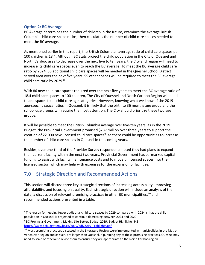#### <span id="page-15-0"></span>**Option 2: BC Average**

BC Average determines the number of children in the future, examines the average British Columbia child care space ratios, then calculates the number of child care spaces needed to meet the BC average.

As mentioned earlier in this report, the British Columbian average ratio of child care spaces per 100 children is 18.4. Although BC Stats project the child population in the City of Quesnel and North Cariboo area to decrease over the next five to ten years, the City and region will need to increase its child care spaces even to reach the BC average. To meet the BC average child care ratio by 2024, 86 additional child care spaces will be needed in the Quesnel School District served area over the next five years. 55 other spaces will be required to meet the BC average child care ratio by 2029.<sup>8</sup>

With 86 new child care spaces required over the next five years to meet the BC average ratio of 18.4 child care spaces to 100 children, The City of Quesnel and North Cariboo Region will need to add spaces to all child care age categories. However, knowing what we know of the 2019 age-specific space ratios in Quesnel, it is likely that the birth to 36 months age group and the school-age groups will require the most attention. The City should prioritize these two age groups.

It will be possible to meet the British Columbia average over five-ten years, as in the 2019 Budget, the Provincial Government promised \$237 million over three years to support the creation of 22,000 new licensed child care spaces<sup>9</sup>, so there could be opportunities to increase the number of child care spaces in Quesnel in the coming years.

Besides, over one-third of the Provider Survey respondents noted they had plans to expand their current facility within the next two years. Provincial Government has earmarked capital funding to assist with facility maintenance costs and to move unlicensed spaces into the licensed sector, which may help with expenses for the expansion of facilities.

# <span id="page-15-1"></span>7.0 Strategic Direction and Recommended Actions

This section will discuss three key strategic directions of increasing accessibility, improving affordability, and focusing on quality. Each strategic direction will include an analysis of the data, a discussion of relevant promising practices in other BC municipalities,  $10$  and recommended actions presented in a table.

 $8$ The reason for needing fewer additional child care spaces by 2029 compared with 2024 is that the child population in Quesnel is projected to continue decreasing between 2024 and 2029.

<sup>&</sup>lt;sup>9</sup> BC Provincial Government. Making Life Better. Budget 2019. Budget Highlights. P.3 [https://www.bcbudget.gov.bc.ca/2019/pdf/2019\\_Highlights.pdf](https://www.bcbudget.gov.bc.ca/2019/pdf/2019_Highlights.pdf)

 $10$  Most promising practices discussed in the Literature Review were implemented in municipalities in the Metro Vancouver Region and as such, are larger than Quesnel. If pursuing any of these promising practices, Quesnel may need to scale or otherwise revise them to ensure they are appropriate to the North Cariboo region.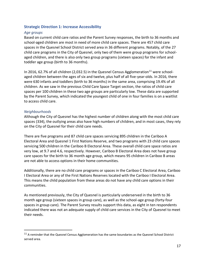#### <span id="page-16-0"></span>**Strategic Direction 1: Increase Accessibility**

#### <span id="page-16-1"></span>*Age groups*

Based on current child care ratios and the Parent Survey responses, the birth to 36 months and school-aged children are most in need of more child care spaces. There are 457 child care spaces in the Quesnel School District served area in 36 different programs. Notably, of the 27 child care programs in the City of Quesnel, only two of them were group programs for schoolaged children, and there is also only two group programs (sixteen spaces) for the infant and toddler age group (birth to 36 months).

In 2016, 62.7% of all children (2,032.5) in the Quesnel Census Agglomeration<sup>11</sup> were schoolaged children between the ages of six and twelve, plus half of all five-year-olds. In 2016, there were 630 infants and toddlers (birth to 36 months) in the same area, comprising 19.4% of all children. As we saw in the previous Child Care Space Target section, the ratios of child care spaces per 100 children in these two age groups are particularly low. These data are supported by the Parent Survey, which indicated the youngest child of one in four families is on a waitlist to access child care.

#### <span id="page-16-2"></span>*Neighbourhoods*

Although the City of Quesnel has the highest number of children along with the most child care spaces (334), the outlying areas also have high numbers of children, and in most cases, they rely on the City of Quesnel for their child care needs.

There are five programs and 87 child care spaces servicing 895 children in the Cariboo A Electoral Area and Quesnel 1 First Nations Reserve, and two programs with 23 child care spaces servicing 500 children in the Cariboo B Electoral Area. These overall child care space ratios are very low, at 9.7 and 4.6, respectively. However, Cariboo B Electoral Area does not have group care spaces for the birth to 36 month age group, which means 95 children in Cariboo B areas are not able to access options in their home communities.

Additionally, there are no child care programs or spaces in the Cariboo C Electoral Area, Cariboo I Electoral Area or any of the First Nations Reserves located with the Cariboo I Electoral Area. This means the child population from these areas do not have any child care options in their communities.

As mentioned previously, the City of Quesnel is particularly underserved in the birth to 36 month age group (sixteen spaces in group care), as well as the school-age group (forty-four spaces in group care). The Parent Survey results support this data, as eight in ten respondents indicated there was not an adequate supply of child care services in the City of Quesnel to meet their needs.

 $11$  A reminder that the Quesnel Census Agglomeration has the same boundaries as the Quesnel School District served area.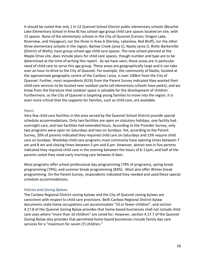It should be noted that only 1 in 12 Quesnel School District public elementary schools (Bouchie Lake Elementary School in Area B( has school-age group child care spaces located on-site, with 15 spaces. None of the elementary schools in the City of Quesnel (Carson, Dragon Lake, Riverview, and Voyageur), nor the three in Area A (Kersley, Lakeview, Red Bluff), nor the other three elementary schools in the region, Barlow Creek (area C), Nazko (area I), Wells-Barkerville (District of Wells), have group school-age child care spaces. The new school planned at the Maple Drive site, does include plans for child care spaces, though number and type are to be determined at the time of writing this report. As we have seen, these areas are in particular need of child care to serve this age group. These areas are geographically large and it can take over an hour to drive to the City of Quesnel. For example, the community of Nazko, located at the approximate geographic centre of the Cariboo I area, is over 100km from the City of Quesnel. Further, most respondents (61%) from the Parent Survey indicated they wanted their child care services to be located near outdoor parks (all elementary schools have parks), and we know from the literature that outdoor space is valuable for the development of children. Furthermore, as the City of Quesnel is targeting young families to move into the region, it is even more critical that the supports for families, such as child care, are available.

#### <span id="page-17-0"></span>*Hours*

Very few child care facilities in the area served by the Quesnel School District provide special schedule accommodations. Only two facilities are open on statutory holidays, one facility had overnight care, and two facilities had extended hours. According to the Provider Survey, only two programs were open on Saturdays and two on Sundays. Yet, according to the Parent Survey, 20% of parents indicated they required child care on Saturdays and 13% require child care on Sundays. Weekday child care programs most commonly have opening times between 7 am and 8 am and closing times between 5 pm and 6 pm. However, almost one in five parents indicated they required child care in the evening between the hours of 6-11pm, and half of the parents noted they need early morning care between 6-9am.

Most programs offer school professional day programming (79% of programs), spring break programming (79%), and summer break programming (83%). Most also offer Winter break programming. On the Parent Survey, respondents indicated they needed and used these special schedule accommodations.

#### <span id="page-17-1"></span>*Policies and Zoning Bylaws*

The Cariboo Regional District zoning bylaws and the City of Quesnel zoning bylaws are consistent with respect to child care provisions. Both Cariboo Regional District bylaw documents state home occupations can accommodate "10 or fewer children", and section 4.17.8 of the Quesnel Zoning Bylaw provides that home-based businesses shall not include child care uses where "more than 10 children" are cared for. However, section 4.17.7 of the Quesnel Zoning Bylaw also provides that permitted home based businesses include family day care services for a "maximum for seven (7) children."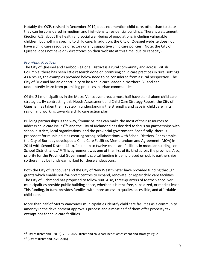Notably the OCP, revised in December 2019, does not mention child care, other than to state they can be considered in medium and high-density residential buildings. There is a statement (Section 6.5) about the health and social well-being of populations, including vulnerable children, but nothing specific to child care. In addition, the City of Quesnel website does not have a child care resource directory or any supportive child care policies. (Note: the City of Quesnel does not have *any* directories on their website at this time, due to capacity).

#### <span id="page-18-0"></span>*Promising Practices*

The City of Quesnel and Cariboo Regional District is a rural community and across British Columbia, there has been little research done on promising child care practices in rural settings. As a result, the examples provided below need to be considered from a rural perspective. The City of Quesnel has an opportunity to be a child care leader in Northern BC and can undoubtedly learn from promising practices in urban communities.

Of the 21 municipalities in the Metro Vancouver area, almost half have stand-alone child care strategies. By contracting this Needs Assessment and Child Care Strategy Report, the City of Quesnel has taken the first step in understanding the strengths and gaps in child care in its region and working towards a child care action plan

Building partnerships is the way, "municipalities can make the most of their resources to address child care issues<sup>"12</sup> and the City of Richmond has decided to focus on partnerships with school districts, local organizations, and the provincial government. Specifically, there is precedent for municipalities creating strong collaborations with School Districts. For example, the City of Burnaby developed a Child Care Facilities Memorandum and Agreement (MOA) in 2014 with School District 41 to, "build up to twelve child care facilities in modular buildings on School District lands."<sup>13</sup> This agreement was one of the first of its kind across the province. Also, priority for the Provincial Government's capital funding is being placed on public partnerships, so there may be funds earmarked for these endeavours.

Both the City of Vancouver and the City of New Westminster have provided funding through grants which enable not-for-profit centres to expand, renovate, or repair child care facilities. The City of Richmond has proposed to follow suit. Also, three-quarters of Metro Vancouver municipalities provide public building space, whether it is rent-free, subsidized, or market lease. This funding, in turn, provides families with more access to quality, accessible, and affordable child care.

More than half of Metro Vancouver municipalities identify child care facilities as a community amenity in the development approvals process and almost half of them offer property tax exemptions for child care facilities.

<sup>&</sup>lt;sup>12</sup> City of Richmond. (2016). 2017-2022: Richmond child care needs assessment and strategy. Pg. 23.

 $13$  (City of Richmond, p.23 2016)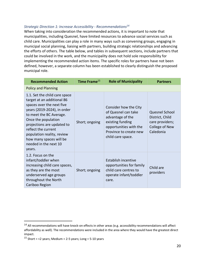#### <span id="page-19-0"></span>*Strategic Direction 1: Increase Accessibility - Recommendations<sup>14</sup>*

When taking into consideration the recommended actions, it is important to note that municipalities, including Quesnel, have limited resources to advance social services such as child care. Municipalities can play a role in many ways such as convening groups, engaging in municipal social planning, liaising with partners, building strategic relationships and advancing the efforts of others. The table below, and tables in subsequent sections, include partners that could be involved in the work, and the municipality does not hold sole responsibility for implementing the recommended action items. The specific roles for partners have not been defined, however, a separate column has been established to clearly distinguish the proposed municipal role.

| <b>Recommended Action</b>                                                                                                                                                                                                                                                                                                  | Time Frame <sup>15</sup> | <b>Role of Municipality</b>                                                                                                                                   | <b>Partners</b>                                                                            |
|----------------------------------------------------------------------------------------------------------------------------------------------------------------------------------------------------------------------------------------------------------------------------------------------------------------------------|--------------------------|---------------------------------------------------------------------------------------------------------------------------------------------------------------|--------------------------------------------------------------------------------------------|
| <b>Policy and Planning</b>                                                                                                                                                                                                                                                                                                 |                          |                                                                                                                                                               |                                                                                            |
| 1.1. Set the child care space<br>target at an additional 86<br>spaces over the next five<br>years (2019-2024), in order<br>to meet the BC Average.<br>Once the population<br>projections are updated to<br>reflect the current<br>population reality, review<br>how many spaces will be<br>needed in the next 10<br>years. | Short; ongoing           | Consider how the City<br>of Quesnel can take<br>advantage of the<br>existing funding<br>opportunities with the<br>Province to create new<br>child care space. | <b>Quesnel School</b><br>District, Child<br>care providers;<br>College of New<br>Caledonia |
| 1.2. Focus on the<br>infant/toddler when<br>increasing child care spaces,<br>as they are the most<br>underserved age groups<br>throughout the North<br>Cariboo Region                                                                                                                                                      | Short; ongoing           | Establish incentive<br>opportunities for family<br>child care centres to<br>operate infant/toddler<br>care.                                                   | Child are<br>providers                                                                     |

<sup>&</sup>lt;sup>14</sup> All recommendations will have knock-on effects in other areas (e.g. accessibility recommendations will affect affordability as well). The recommendations were included in the area where they would have the greatest direct impact.

<sup>&</sup>lt;sup>15</sup> Short = <2 years; Medium = 2-5 years; Long = 5-10 years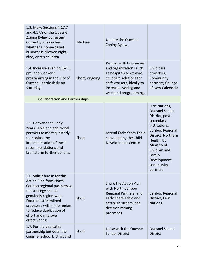| 1.3. Make Sections 4.17.7<br>and 4.17.8 of the Quesnel<br>Zoning Bylaw consistent.<br>Currently, it's unclear<br>whether a home-based<br>business is allowed eight,<br>nine, or ten children                                                                              | Medium         | <b>Update the Quesnel</b><br>Zoning Bylaw.                                                                                                                                           |                                                                                                                                                                                                                             |
|---------------------------------------------------------------------------------------------------------------------------------------------------------------------------------------------------------------------------------------------------------------------------|----------------|--------------------------------------------------------------------------------------------------------------------------------------------------------------------------------------|-----------------------------------------------------------------------------------------------------------------------------------------------------------------------------------------------------------------------------|
| 1.4. Increase evening (6-11<br>pm) and weekend<br>programming in the City of<br>Quesnel, particularly on<br>Saturdays                                                                                                                                                     | Short; ongoing | Partner with businesses<br>and organizations such<br>as hospitals to explore<br>childcare solutions for<br>shift workers, ideally to<br>increase evening and<br>weekend programming. | Child care<br>providers,<br>Community<br>partners; College<br>of New Caledonia                                                                                                                                              |
| <b>Collaboration and Partnerships</b>                                                                                                                                                                                                                                     |                |                                                                                                                                                                                      |                                                                                                                                                                                                                             |
| 1.5. Convene the Early<br><b>Years Table and additional</b><br>partners to meet quarterly<br>to monitor the<br>implementation of these<br>recommendations and<br>brainstorm further actions.                                                                              | Short          | <b>Attend Early Years Table</b><br>convened by the Child<br><b>Development Centre</b>                                                                                                | First Nations,<br>Quesnel School<br>District, post-<br>secondary<br>institutions,<br>Cariboo Regional<br>District, Northern<br>Health, BC<br>Ministry of<br>Children and<br>Family<br>Development,<br>community<br>partners |
| 1.6. Solicit buy-in for this<br><b>Action Plan from North</b><br>Cariboo regional partners so<br>the strategy can be<br>genuinely region-wide.<br>Focus on streamlined<br>processes within the region<br>to reduce duplication of<br>effort and improve<br>effectiveness. | Short          | Share the Action Plan<br>with North Cariboo<br>Regional Partners and<br>Early Years Table and<br>establish streamlined<br>decision making<br>processes                               | Cariboo Regional<br>District, First<br><b>Nations</b>                                                                                                                                                                       |
| 1.7. Form a dedicated<br>partnership between the<br>Quesnel School District and                                                                                                                                                                                           | Short          | Liaise with the Quesnel<br><b>School District</b>                                                                                                                                    | Quesnel School<br><b>District</b>                                                                                                                                                                                           |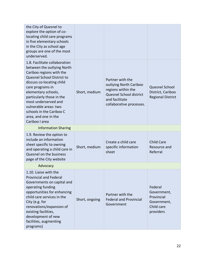| the City of Quesnel to<br>explore the option of co-<br>locating child care programs<br>in five elementary schools<br>in the City as school age<br>groups are one of the most<br>underserved.                                                                                                                                                      |                |                                                                                                                                           |                                                                                |
|---------------------------------------------------------------------------------------------------------------------------------------------------------------------------------------------------------------------------------------------------------------------------------------------------------------------------------------------------|----------------|-------------------------------------------------------------------------------------------------------------------------------------------|--------------------------------------------------------------------------------|
| 1.8. Facilitate collaboration<br>between the outlying North<br>Cariboo regions with the<br>Quesnel School District to<br>discuss co-locating child<br>care programs in<br>elementary schools,<br>particularly those in the<br>most underserved and<br>vulnerable areas: two<br>schools in the Cariboo C<br>area, and one in the<br>Cariboo I area | Short, medium  | Partner with the<br>outlying North Cariboo<br>regions within the<br>Quesnel School district<br>and facilitate<br>collaborative processes. | <b>Quesnel School</b><br>District, Cariboo<br><b>Regional District</b>         |
| <b>Information Sharing</b>                                                                                                                                                                                                                                                                                                                        |                |                                                                                                                                           |                                                                                |
| 1.9. Review the option to<br>include an information<br>sheet specific to owning<br>and operating a child care in<br>Quesnel on the business<br>page of the City website                                                                                                                                                                           | Short, medium  | Create a child care<br>specific information<br>sheet                                                                                      | <b>Child Care</b><br>Resource and<br>Referral                                  |
| Advocacy                                                                                                                                                                                                                                                                                                                                          |                |                                                                                                                                           |                                                                                |
| 1.10. Liaise with the<br><b>Provincial and Federal</b><br>Governments on capital and<br>operating funding<br>opportunities for enhancing<br>child care services in the<br>City (e.g. for<br>renovations/expansion of<br>existing facilities,<br>development of new<br>facilities, augmenting<br>programs)                                         | Short, ongoing | Partner with the<br><b>Federal and Provincial</b><br>Government                                                                           | Federal<br>Government,<br>Provincial<br>Government,<br>Child care<br>providers |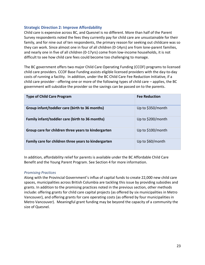### <span id="page-22-0"></span>**Strategic Direction 2: Improve Affordability**

Child care is expensive across BC, and Quesnel is no different. More than half of the Parent Survey respondents noted the fees they currently pay for child care are unsustainable for their family, and for nine out of ten respondents, the primary reason for seeking out childcare was so they can work. Since almost one in four of all children (0-14yrs) are from lone-parent families, and nearly one in five of all children (0-17yrs) come from low-income households, it is not difficult to see how child care fees could become too challenging to manage.

The BC government offers two major Child Care Operating Funding (CCOF) programs to licensed child care providers. CCOF Base Funding assists eligible licensed providers with the day-to-day costs of running a facility. In addition, under the BC Child Care Fee Reduction Initiative, if a child care provider - offering one or more of the following types of child care – applies, the BC government will subsidize the provider so the savings can be passed on to the parents.

| <b>Type of Child Care Program</b>                    | <b>Fee Reduction</b> |
|------------------------------------------------------|----------------------|
| Group infant/toddler care (birth to 36 months)       | Up to \$350/month    |
| Family infant/toddler care (birth to 36 months)      | Up to \$200/month    |
| Group care for children three years to kindergarten  | Up to \$100/month    |
| Family care for children three years to kindergarten | Up to \$60/month     |

In addition, affordability relief for parents is available under the BC Affordable Child Care Benefit and the Young Parent Program. See Section 4 for more information.

#### <span id="page-22-1"></span>*Promising Practices*

Along with the Provincial Government's influx of capital funds to create 22,000 new child care spaces, municipalities across British Columbia are tackling this issue by providing subsidies and grants. In addition to the promising practices noted in the previous section, other methods include: offering grants for child care capital projects (as offered by six municipalities in Metro Vancouver), and offering grants for care operating costs (as offered by four municipalities in Metro Vancouver). Meaningful grant funding may be beyond the capacity of a community the size of Quesnel.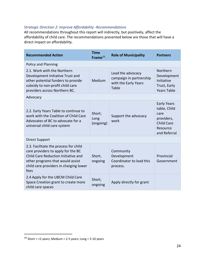#### <span id="page-23-0"></span>*Strategic Direction 2: Improve Affordability -Recommendations*

All recommendations throughout this report will indirectly, but positively, affect the affordability of child care. The recommendations presented below are those that will have a direct impact on affordability.

| <b>Recommended Action</b>                                                                                                                                                                                | Time<br>Frame $^{16}$       | <b>Role of Municipality</b>                                                   | <b>Partners</b>                                                                                           |
|----------------------------------------------------------------------------------------------------------------------------------------------------------------------------------------------------------|-----------------------------|-------------------------------------------------------------------------------|-----------------------------------------------------------------------------------------------------------|
| Policy and Planning                                                                                                                                                                                      |                             |                                                                               |                                                                                                           |
| 2.1. Work with the Northern<br>Development Initiative Trust and<br>other potential funders to provide<br>subsidy to non-profit child care<br>providers across Northern BC.                               | Medium                      | Lead the advocacy<br>campaign in partnership<br>with the Early Years<br>Table | Northern<br>Development<br>Initiative<br>Trust, Early<br><b>Years Table</b>                               |
| Advocacy                                                                                                                                                                                                 |                             |                                                                               |                                                                                                           |
| 2.2. Early Years Table to continue to<br>work with the Coalition of Child Care<br>Advocates of BC to advocate for a<br>universal child care system                                                       | Short;<br>Long<br>(ongoing) | Support the advocacy<br>work                                                  | <b>Early Years</b><br>table, Child<br>care<br>providers,<br><b>Child Care</b><br>Resource<br>and Referral |
| <b>Direct Support</b>                                                                                                                                                                                    |                             |                                                                               |                                                                                                           |
| 2.3. Facilitate the process for child<br>care providers to apply for the BC<br>Child Care Reduction Initiative and<br>other programs that would assist<br>child care providers in charging lower<br>fees | Short,<br>ongoing           | Community<br>Development<br>Coordinator to lead this<br>process.              | Provincial<br>Government                                                                                  |
| 2.4 Apply for the UBCM Child Care<br>Space Creation grant to create more<br>child care spaces                                                                                                            | Short,<br>ongoing           | Apply directly for grant                                                      |                                                                                                           |

 $16$  Short = <2 years; Medium = 2-5 years; Long = 5-10 years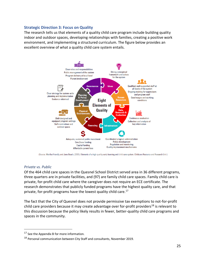#### <span id="page-24-0"></span>**Strategic Direction 3: Focus on Quality**

The research tells us that elements of a quality child care program include building quality indoor and outdoor spaces, developing relationships with families, creating a positive work environment, and implementing a structured curriculum. The figure below provides an excellent overview of what a quality child care system entails.



(Source: Martha Friendly and Jane Beach, (2005). Elements of a high quality early learning and child care system. Childcare Resource and Research Unit.)

#### <span id="page-24-1"></span>*Private vs. Public*

Of the 464 child care spaces in the Quesnel School District served area in 36 different programs, three quarters are in private facilities, and (97) are family child care spaces. Family child care is private, for-profit child care where the caregiver does not require an ECE certificate. The research demonstrates that publicly funded programs have the highest quality care, and that private, for-profit programs have the lowest quality child care.<sup>17</sup>

The fact that the City of Quesnel does not provide permissive tax exemptions to not-for-profit child care providers because it may create advantage over for-profit providers<sup>18</sup> is relevant to this discussion because the policy likely results in fewer, better-quality child care programs and spaces in the community.

<sup>&</sup>lt;sup>17</sup> See the Appendix B for more information.

<sup>&</sup>lt;sup>18</sup> Personal communication between City Staff and consultants, November 2019.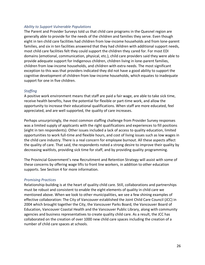#### <span id="page-25-0"></span>*Ability to Support Vulnerable Populations*

The Parent and Provider Surveys told us that child care programs in the Quesnel region are generally able to provide for the needs of the children and families they serve. Even though eight in ten child care facilities had children from low-income households and from lone-parent families, and six in ten facilities answered that they had children with additional support needs, most child care facilities felt they could support the children they cared for. For most EDI domains (emotional, communication, physical, etc.), child care providers said they were able to provide adequate support for Indigenous children, children living in lone-parent families, children from low-income households, and children with extra needs. The most significant exception to this was that providers indicated they did not have a good ability to support the cognitive development of children from low-income households, which equates to inadequate support for one in five children.

#### <span id="page-25-1"></span>*Staffing*

A positive work environment means that staff are paid a fair wage, are able to take sick time, receive health benefits, have the potential for flexible or part-time work, and allow the opportunity to increase their educational qualifications. When staff are more educated, feel appreciated, and are well supported, the quality of care increases.

Perhaps unsurprisingly, the most common staffing challenge from Provider Survey responses was a limited supply of applicants with the right qualifications and experiences to fill positions (eight in ten respondents). Other issues included a lack of access to quality education, limited opportunities to work full-time and flexible hours, and cost of living issues such as low wages in the child care industry. There is a real concern for employee burnout. All these aspects affect the quality of care. That said, the respondents noted a strong desire to improve their quality by decreasing waitlists, providing sick time for staff, and by providing quality programming.

The Provincial Government's new Recruitment and Retention Strategy will assist with some of these concerns by offering wage lifts to front line workers, in addition to other education supports. See Section 4 for more information.

#### <span id="page-25-2"></span>*Promising Practices*

Relationship-building is at the heart of quality child care. Still, collaborations and partnerships must be robust and consistent to enable the eight elements of quality in child care we mentioned above. When we look to other municipalities, we see a few shining examples of effective collaboration: The City of Vancouver established the Joint Child Care Council (JCC) in 2004 which brought together the City, the Vancouver Parks Board, the Vancouver Board of Education, Vancouver Coastal Health and the Vancouver Public Library, along with community agencies and business representatives to create quality child care. As a result, the JCC has collaborated on the creation of over 1000 new child care spaces including the creation of a number of child care spaces at schools.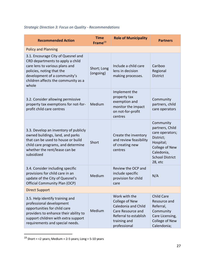| <b>Recommended Action</b>                                                                                                                                                                                             | <b>Time</b><br>Frame $19$ | <b>Role of Municipality</b>                                                                                                          | <b>Partners</b>                                                                                                                                |
|-----------------------------------------------------------------------------------------------------------------------------------------------------------------------------------------------------------------------|---------------------------|--------------------------------------------------------------------------------------------------------------------------------------|------------------------------------------------------------------------------------------------------------------------------------------------|
| <b>Policy and Planning</b>                                                                                                                                                                                            |                           |                                                                                                                                      |                                                                                                                                                |
| 3.1. Encourage City of Quesnel and<br>CRD departments to apply a child<br>care lens to various plans and<br>policies, noting that the<br>development of a community's<br>children affects the community as a<br>whole | Short; Long<br>(ongoing)  | Include a child care<br>lens in decision<br>making processes.                                                                        | Cariboo<br>Regional<br><b>District</b>                                                                                                         |
| 3.2. Consider allowing permissive<br>property tax exemptions for not-for-<br>profit child care centres                                                                                                                | Medium                    | Implement the<br>property tax<br>exemption and<br>monitor the impact<br>on not-for-profit<br>centres                                 | Community<br>partners, child<br>care operators                                                                                                 |
| 3.3. Develop an inventory of publicly<br>owned buildings, land, and parks<br>that can be used to house or build<br>child care programs, and determine<br>whether the rent/lease can be<br>subsidized                  | Short                     | Create the inventory<br>and review feasibility<br>of creating new<br>centres                                                         | Community<br>partners, Child<br>care operators;<br>District;<br>Hospital;<br>College of New<br>Caledonia,<br><b>School District</b><br>28, etc |
| 3.4. Consider including specific<br>provisions for child care in an<br>update of the City of Quesnel's<br><b>Official Community Plan (OCP)</b>                                                                        | Medium                    | Review the OCP and<br>include specific<br>provision for child<br>care                                                                | N/A                                                                                                                                            |
| <b>Direct Support</b>                                                                                                                                                                                                 |                           |                                                                                                                                      |                                                                                                                                                |
| 3.5. Help identify training and<br>professional development<br>opportunities for child care<br>providers to enhance their ability to<br>support children with extra support<br>requirements and special needs.        | Medium                    | Work with the<br>College of New<br>Caledonia and Child<br>Care Resource and<br>Referral to establish<br>training and<br>professional | <b>Child Care</b><br>Resource and<br>Referral,<br>Community<br>Care Licensing,<br><b>College of New</b><br>Calendonia;                         |

### <span id="page-26-0"></span>*Strategic Direction 3: Focus on Quality - Recommendations*

<sup>&</sup>lt;sup>19</sup> Short = <2 years; Medium = 2-5 years; Long =  $5-10$  years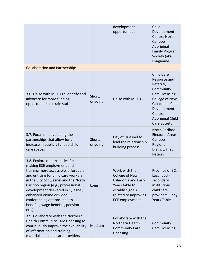|                                                                                                                                                                                                                                                                                                                                                                             |                   | development<br>opportunities                                                                                                                 | Child<br>Development<br>Centre; North<br>Cariboo<br>Aboriginal<br><b>Family Program</b><br>Society (aka<br>Longname                                                                       |
|-----------------------------------------------------------------------------------------------------------------------------------------------------------------------------------------------------------------------------------------------------------------------------------------------------------------------------------------------------------------------------|-------------------|----------------------------------------------------------------------------------------------------------------------------------------------|-------------------------------------------------------------------------------------------------------------------------------------------------------------------------------------------|
| <b>Collaboration and Partnerships</b>                                                                                                                                                                                                                                                                                                                                       |                   |                                                                                                                                              |                                                                                                                                                                                           |
| 3.6. Liaise with MCFD to identify and<br>advocate for more funding<br>opportunities to train staff                                                                                                                                                                                                                                                                          | Short,<br>ongoing | Liaise with MCFD                                                                                                                             | <b>Child Care</b><br>Resource and<br>Referral,<br>Community<br>Care Licensing,<br>College of New<br>Caledonia; Child<br>Development<br>Centre;<br>Aboriginal Child<br><b>Care Society</b> |
| 3.7. Focus on developing the<br>partnerships that allow for an<br>increase in publicly funded child<br>care spaces                                                                                                                                                                                                                                                          | Short,<br>ongoing | City of Quesnel to<br>lead the relationship<br>building process                                                                              | North Cariboo<br>Electoral Areas,<br>Cariboo<br>Regional<br>District, First<br><b>Nations</b>                                                                                             |
| 3.8. Explore opportunities for<br>making ECE employment and<br>training more accessible, affordable,<br>and enticing for child care workers<br>in the City of Quesnel and the North<br>Cariboo region (e.g., professional<br>development delivered in Quesnel,<br>enhanced online or video<br>conferencing options, health<br>benefits, wage benefits, pension<br>$etc.$ ); | Long              | Work with the<br>College of New<br>Caledonia and Early<br>Years table to<br>establish goals<br>related to improving<br><b>ECE employment</b> | Province of BC,<br>Local post-<br>secondary<br>institutions,<br>child care<br>providers, Early<br><b>Years Table</b>                                                                      |
| 3.9. Collaborate with the Northern<br>Health Community Care Licensing to<br>continuously improve the availability<br>of information and training<br>materials for child care providers                                                                                                                                                                                      | Medium            | Collaborate with the<br>Northern Health<br><b>Community Care</b><br>Licensing                                                                | Community<br><b>Care Licensing</b>                                                                                                                                                        |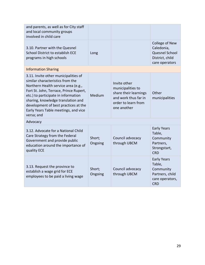| and parents, as well as for City staff<br>and local community groups<br>involved in child care                                                                                                                                                                                                                                       |                   |                                                                                                                          |                                                                                               |
|--------------------------------------------------------------------------------------------------------------------------------------------------------------------------------------------------------------------------------------------------------------------------------------------------------------------------------------|-------------------|--------------------------------------------------------------------------------------------------------------------------|-----------------------------------------------------------------------------------------------|
| 3.10. Partner with the Quesnel<br>School District to establish ECE<br>programs in high schools                                                                                                                                                                                                                                       | Long              |                                                                                                                          | College of New<br>Caledonia,<br>Quesnel School<br>District, child<br>care operators           |
| <b>Information Sharing</b>                                                                                                                                                                                                                                                                                                           |                   |                                                                                                                          |                                                                                               |
| 3.11. Invite other municipalities of<br>similar characteristics from the<br>Northern Health service area (e.g.,<br>Fort St. John, Terrace, Prince Rupert,<br>etc.) to participate in information<br>sharing, knowledge translation and<br>development of best practices at the<br>Early Years Table meetings, and vice<br>versa; and | Medium            | Invite other<br>municipalities to<br>share their learnings<br>and work thus far in<br>order to learn from<br>one another | Other<br>municipalities                                                                       |
| Advocacy                                                                                                                                                                                                                                                                                                                             |                   |                                                                                                                          |                                                                                               |
| 3.12. Advocate for a National Child<br>Care Strategy from the Federal<br>Government and provide public<br>education around the importance of<br>quality ECE                                                                                                                                                                          | Short;<br>Ongoing | Council advocacy<br>through UBCM                                                                                         | <b>Early Years</b><br>Table,<br>Community<br>Partners,<br>Strongstart,<br><b>CRD</b>          |
| 3.13. Request the province to<br>establish a wage grid for ECE<br>employees to be paid a living wage                                                                                                                                                                                                                                 | Short;<br>Ongoing | Council advocacy<br>through UBCM                                                                                         | <b>Early Years</b><br>Table,<br>Community<br>Partners, child<br>care operators,<br><b>CRD</b> |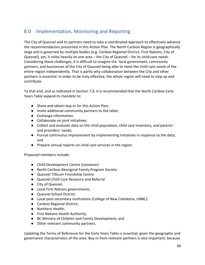# <span id="page-29-0"></span>8.0 Implementation, Monitoring and Reporting

The City of Quesnel and its partners need to take a coordinated approach to effectively advance the recommendations presented in this Action Plan. The North Cariboo Region is geographically large and is governed by multiple bodies (e.g. Cariboo Regional District, First Nations, City of Quesnel), yet, it relies heavily on one area – the City of Quesnel – for its child care needs. Considering these challenges, it is difficult to imagine the local government, community partners, and businesses of the City of Quesnel being able to meet the child care needs of the entire region independently. That is partly why collaboration between the City and other partners is essential. In order to be truly effective, the whole region will need to step up and contribute.

To that end, and as indicated in Section 7.0, it is recommended that the North Cariboo Early Years Table expand its mandate to:

- Share and obtain buy-in for this Action Plan;
- Invite additional community partners to the table;
- Exchange information;
- Collaborate on joint initiatives;
- Collect and evaluate data on the child population, child care inventory, and parents' and providers' needs;
- Pursue continuous improvement by implementing initiatives in response to the data; and
- Prepare annual reports on child care services in the region.

Proposed members include:

- Child Development Centre (convener)
- North Cariboo Aboriginal Family Program Society
- Quesnel Tillicum Friendship Centre
- Quesnel Child Care Resource and Referral
- City of Quesnel;
- Local First Nations governments;
- Quesnel School District;
- Local post-secondary institutions (College of New Caledonia, UNBC);
- Cariboo Regional District;
- Northern Health;
- First Nations Health Authority;
- BC Ministry of Children and Family Development; and
- Other relevant community partners.

Updating the Terms of Reference for the Early Years Table is essential, given the geographic and governance characteristics of the area. Buy-in from relevant partners is also important; because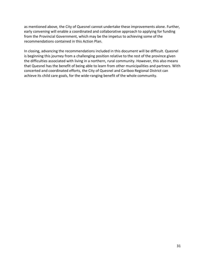as mentioned above, the City of Quesnel cannot undertake these improvements alone. Further, early convening will enable a coordinated and collaborative approach to applying for funding from the Provincial Government, which may be the impetus to achieving some of the recommendations contained in this Action Plan.

In closing, advancing the recommendations included in this document will be difficult. Quesnel is beginning this journey from a challenging position relative to the rest of the province given the difficulties associated with living in a northern, rural community. However, this also means that Quesnel has the benefit of being able to learn from other municipalities and partners. With concerted and coordinated efforts, the City of Quesnel and Cariboo Regional District can achieve its child care goals, for the wide-ranging benefit of the whole community.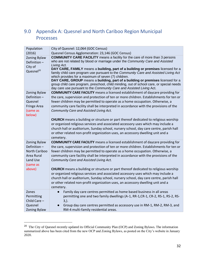# <span id="page-31-0"></span>9.0 Appendix A: Quesnel and North Cariboo Region Municipal Processes

| Population                                                             | City of Quesnel: 12,064 (GOC Census)                                                                                                                                                                                                                                                                                                                                                                                                                                                                                                                                                                                                                                           |
|------------------------------------------------------------------------|--------------------------------------------------------------------------------------------------------------------------------------------------------------------------------------------------------------------------------------------------------------------------------------------------------------------------------------------------------------------------------------------------------------------------------------------------------------------------------------------------------------------------------------------------------------------------------------------------------------------------------------------------------------------------------|
| (2016)                                                                 | Quesnel Census Agglomeration: 23,146 (GOC Census)                                                                                                                                                                                                                                                                                                                                                                                                                                                                                                                                                                                                                              |
| <b>Zoning Bylaw</b><br>Definition-<br>City of<br>Quesnel <sup>20</sup> | <b>COMMUNITY CARE FACILITY</b> means a facility for the care of more than 3 persons<br>who are not related by blood or marriage under the Community Care and Assisted<br>Living Act.<br>DAY CARE, FAMILY means a building, part of a building or premises licensed for a<br>family child care program use pursuant to the Community Care and Assisted Living Act<br>which provides for a maximum of seven (7) children.<br>DAY CARE, GROUP means a building, part of a building or premises licensed for a<br>group child care program, preschool, child minding, out of school care, or special needs<br>day care use pursuant to the Community Care and Assisted Living Act. |
| <b>Zoning Bylaw</b>                                                    | <b>COMMUNITY CARE FACILITY</b> means a licensed establishment of daycare providing for                                                                                                                                                                                                                                                                                                                                                                                                                                                                                                                                                                                         |
| Definition-                                                            | the care, supervision and protection of ten or more children. Establishments for ten or                                                                                                                                                                                                                                                                                                                                                                                                                                                                                                                                                                                        |
| Quesnel                                                                | fewer children may be permitted to operate as a home occupation. Otherwise, a                                                                                                                                                                                                                                                                                                                                                                                                                                                                                                                                                                                                  |
| <b>Fringe Area</b>                                                     | community care facility shall be interpreted in accordance with the provisions of the                                                                                                                                                                                                                                                                                                                                                                                                                                                                                                                                                                                          |
| (same as<br>below)                                                     | Community Care and Assisted Living Act.                                                                                                                                                                                                                                                                                                                                                                                                                                                                                                                                                                                                                                        |
|                                                                        | <b>CHURCH</b> means a building or structure or part thereof dedicated to religious worship                                                                                                                                                                                                                                                                                                                                                                                                                                                                                                                                                                                     |
|                                                                        | or organized religious services and associated accessory uses which may include a                                                                                                                                                                                                                                                                                                                                                                                                                                                                                                                                                                                              |
|                                                                        | church hall or auditorium, Sunday school, nursery school, day care centre, parish hall                                                                                                                                                                                                                                                                                                                                                                                                                                                                                                                                                                                         |
|                                                                        | or other related non-profit organization uses, an accessory dwelling unit and a                                                                                                                                                                                                                                                                                                                                                                                                                                                                                                                                                                                                |
|                                                                        | cemetery.                                                                                                                                                                                                                                                                                                                                                                                                                                                                                                                                                                                                                                                                      |
| <b>Zoning Bylaw</b>                                                    | <b>COMMUNITY CARE FACILITY</b> means a licensed establishment of daycare providing for                                                                                                                                                                                                                                                                                                                                                                                                                                                                                                                                                                                         |
| Definition-                                                            | the care, supervision and protection of ten or more children. Establishments for ten or                                                                                                                                                                                                                                                                                                                                                                                                                                                                                                                                                                                        |
| North Cariboo<br>Area Rural                                            | fewer children may be permitted to operate as a home occupation. Otherwise, a<br>community care facility shall be interpreted in accordance with the provisions of the                                                                                                                                                                                                                                                                                                                                                                                                                                                                                                         |
| Land Use                                                               | Community Care and Assisted Living Act.                                                                                                                                                                                                                                                                                                                                                                                                                                                                                                                                                                                                                                        |
| (same as                                                               |                                                                                                                                                                                                                                                                                                                                                                                                                                                                                                                                                                                                                                                                                |
| above)                                                                 | <b>CHURCH</b> means a building or structure or part thereof dedicated to religious worship                                                                                                                                                                                                                                                                                                                                                                                                                                                                                                                                                                                     |
|                                                                        | or organized religious services and associated accessory uses which may include a                                                                                                                                                                                                                                                                                                                                                                                                                                                                                                                                                                                              |
|                                                                        | church hall or auditorium, Sunday school, nursery school, day care centre, parish hall                                                                                                                                                                                                                                                                                                                                                                                                                                                                                                                                                                                         |
|                                                                        | or other related non-profit organization uses, an accessory dwelling unit and a                                                                                                                                                                                                                                                                                                                                                                                                                                                                                                                                                                                                |
|                                                                        | cemetery.                                                                                                                                                                                                                                                                                                                                                                                                                                                                                                                                                                                                                                                                      |
| Zones<br>Permitting                                                    | Family day care centres permitted as home based business in all areas<br>$\bullet$<br>permitting one and two family dwellings (A-1, RR-1, CR-1, CR-2, RS-1, RS-2, RS-                                                                                                                                                                                                                                                                                                                                                                                                                                                                                                          |
| Child Care -                                                           | $3,$ ).                                                                                                                                                                                                                                                                                                                                                                                                                                                                                                                                                                                                                                                                        |
| Quesnel                                                                | Group day care centres permitted as accessory use in RM-1, RM-2, RM-3, and<br>$\bullet$                                                                                                                                                                                                                                                                                                                                                                                                                                                                                                                                                                                        |
| <b>Zoning Bylaw</b>                                                    | RM-4 multi-family residential areas.                                                                                                                                                                                                                                                                                                                                                                                                                                                                                                                                                                                                                                           |

<sup>&</sup>lt;sup>20</sup> The City of Quesnel recently updated its Official Community Plan (OCP) and Zoning Bylaws. The information summarized above has been cited from the new OCP and Zoning Bylaws, as posted on the City's website in January 2020.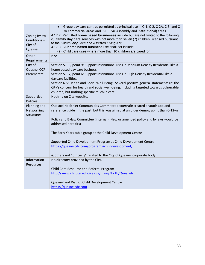|                                                          | Group day care centres permitted as principal use in C-1, C-2, C-2A, C-3, and C-<br>$\bullet$<br>3R commercial areas and P-1 (Civic Assembly and Institutional) areas.                                                                                                                                                                                      |  |  |  |  |
|----------------------------------------------------------|-------------------------------------------------------------------------------------------------------------------------------------------------------------------------------------------------------------------------------------------------------------------------------------------------------------------------------------------------------------|--|--|--|--|
| <b>Zoning Bylaw</b><br>Conditions-<br>City of<br>Quesnel | 4.17.7 Permitted home based businesses include but are not limited to the following:<br>(f) family day care services with not more than seven (7) children, licensed pursuant<br>to the Community Care and Assisted Living Act,<br>A home based business use shall not include:<br>4.17.8<br>(a) Child care uses where more than 10 children are cared for; |  |  |  |  |
| Other<br>Requirements                                    | N/A                                                                                                                                                                                                                                                                                                                                                         |  |  |  |  |
| City of<br>Quesnel OCP                                   | Section 5.1.6, point 9: Support institutional uses in Medium Density Residential like a<br>home based day care business.                                                                                                                                                                                                                                    |  |  |  |  |
| Parameters                                               | Section 5.1.7, point 6: Support institutional uses in High Density Residential like a<br>daycare facilities.                                                                                                                                                                                                                                                |  |  |  |  |
|                                                          | Section 6.5: Health and Social Well-Being. Several positive general statements re: the<br>City's concern for health and social well-being, including targeted towards vulnerable<br>children, but nothing specific re: child care.                                                                                                                          |  |  |  |  |
| Supportive<br><b>Policies</b>                            | Nothing on City website.                                                                                                                                                                                                                                                                                                                                    |  |  |  |  |
| Planning and<br>Networking<br><b>Structures</b>          | Quesnel Healthier Communities Committee (external): created a youth app and<br>reference guide in the past, but this was aimed at an older demographic than 0-12yrs.                                                                                                                                                                                        |  |  |  |  |
|                                                          | Policy and Bylaw Committee (internal): New or amended policy and bylaws would be<br>addressed here first                                                                                                                                                                                                                                                    |  |  |  |  |
|                                                          | The Early Years table group at the Child Development Centre                                                                                                                                                                                                                                                                                                 |  |  |  |  |
|                                                          | Supported Child Development Program at Child Development Centre<br>https://quesnelcdc.com/programs/childdevelopment/                                                                                                                                                                                                                                        |  |  |  |  |
|                                                          | & others not "officially" related to the City of Quesnel corporate body                                                                                                                                                                                                                                                                                     |  |  |  |  |
| Information<br><b>Resources</b>                          | No directory provided by the City.                                                                                                                                                                                                                                                                                                                          |  |  |  |  |
|                                                          | Child Care Resource and Referral Program                                                                                                                                                                                                                                                                                                                    |  |  |  |  |
|                                                          | http://www.childcarechoices.ca/main/North/Quesnel/                                                                                                                                                                                                                                                                                                          |  |  |  |  |
|                                                          | Quesnel and District Child Development Centre                                                                                                                                                                                                                                                                                                               |  |  |  |  |
|                                                          | https://quesnelcdc.com                                                                                                                                                                                                                                                                                                                                      |  |  |  |  |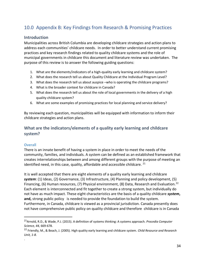# <span id="page-33-0"></span>10.0 Appendix B: Key Findings from Research & Promising Practices

# **Introduction**

Municipalities across British Columbia are developing childcare strategies and action plans to address each communities' childcare needs. In order to better understand current promising practices and key research findings related to quality childcare systems and the role of municipal governments in childcare this document and literature review was undertaken. The purpose of this review is to answer the following guiding questions:

- 1. What are the elements/indicators of a high-quality early learning and childcare system?
- 2. What does the research tell us about Quality Childcare at the Individual Program Level?
- 3. What does the research tell us about auspice –who is operating the childcare programs?
- 4. What is the broader context for childcare in Canada?
- 5. What does the research tell us about the role of local governments in the delivery of a high quality childcare system?
- 6. What are some examples of promising practices for local planning and service delivery?

By reviewing each question, municipalities will be equipped with information to inform their childcare strategies and action plans.

# **What are the indicators/elements of a quality early learning and childcare system?**

#### **Overall**

.

There is an innate benefit of having a system in place in order to meet the needs of the community, families, and individuals. A system can be defined as an established framework that creates interrelationships between and among different groups with the purpose of meeting an identified need, in this case, quality, affordable and accessible childcare.  $^{21}$ 

It is well accepted that there are eight elements of a quality early learning and childcare *system*: (1) Ideas, (2) Governance, (3) Infrastructure, (4) Planning and policy development, (5) Financing, (6) Human resources, (7) Physical environment, (8) Data, Research and Evaluation.<sup>22</sup> Each element is interconnected and fit together to create a strong system, but individually do not have as much impact. These eight characteristics are the basis of a quality childcare *system***, and,** strong public policy is needed to provide the foundation to build the system. Furthermore, in Canada, childcare is viewed as a provincial jurisdiction. Canada presently does not have comprehensive public policy on quality childcare and therefore childcare is in Canada

<sup>21</sup>Arnold, R.D., & Wade, P.J. (2015). A definition of systems thinking: A systems approach. *Procedia Computer Science, 44,* 669-678.

<sup>22</sup> Friendly, M., & Beach, J. (2005). High quality early learning and childcare system. *Child Resource and Research Unit, 1-8.*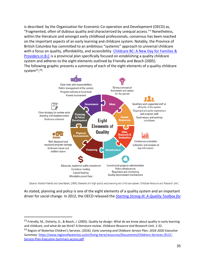is described by the Organisation for Economic Co-operation and Development (OECD) as, "Fragmented, often of dubious quality and characterized by unequal access."<sup>3</sup> Nonetheless, within the literature and amongst early childhood professionals, consensus has been reached on the important aspects of an early learning and childcare system. Notably, the Province of British Columbia has committed to an ambitious "systemic" approach to universal childcare with a focus on quality, affordability, and accessibility. [Childcare BC: A New Day for Families &](https://www2.gov.bc.ca/gov/content/family-social-supports/caring-for-young-children)  [Providers in B.C](https://www2.gov.bc.ca/gov/content/family-social-supports/caring-for-young-children) is a provincial plan specifically focused on establishing a quality childcare system and adheres to the eight elements outlined by Friendly and Beach (2005). The following graphic presents a summary of each of the eight elements of a quality childcare system<sup>23</sup>,<sup>24</sup>:



(Source: Martha Friendly and Jane Beach, (2005). Elements of a high quality early learning and child care system. Childcare Resource and Research Unit.)

As stated, planning and policy is one of the eight elements of a quality system and an important driver for social change. In 2012, the OECD released the *[Starting Strong III: A Quality Toolbox for](http://www.oecd.org/education/school/startingstrongiii-aqualitytoolboxforearlychildhoodeducationandcare.htm)* 

<sup>&</sup>lt;sup>23</sup> Friendly, M., Doherty, G., & Beach, J. (2005). Quality by design: What do we know about quality in early learning and childcare, and what do we think? A literature review. *Childcare Resource and Research Unit*, 1-32. <sup>24</sup> Region of Waterloo Children's Services. (2016). *Early Learning and Childcare Service Plan: 2016-2020 Executive Summary*[. https://www.regionofwaterloo.ca/en/living-here/resources/Documents/Childrens-Services-/ELCC-](https://www.regionofwaterloo.ca/en/living-here/resources/Documents/Childrens-Services-/ELCC-Service-Plan-Executive-Summary-access.pdf)[Service-Plan-Executive-Summary-access.pdf](https://www.regionofwaterloo.ca/en/living-here/resources/Documents/Childrens-Services-/ELCC-Service-Plan-Executive-Summary-access.pdf)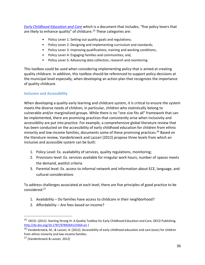*[Early Childhood Education and Care](http://www.oecd.org/education/school/startingstrongiii-aqualitytoolboxforearlychildhoodeducationandcare.htm)* which is a document that includes, "five policy levers that are likely to enhance quality" of childcare.<sup>25</sup> These categories are:

- Policy Lever 1: Setting out quality goals and regulations;
- Policy Lever 2: Designing and implementing curriculum and standards;
- Policy Lever 3: Improving qualifications, training and working conditions;
- Policy Lever 4: Engaging families and communities; and,
- Policy Lever 5: Advancing data collection, research and monitoring.

This toolbox could be used when considering implementing policy that is aimed at creating quality childcare. In addition, this toolbox should be referenced to support policy decisions at the municipal level especially, when developing an action plan that recognizes the importance of quality childcare.

### **Inclusion and Accessibility**

When developing a quality early learning and childcare system, it is critical to ensure the system meets the diverse needs of children, in particular, children who statistically belong to vulnerable and/or marginalized groups. While there is no "one size fits all" framework that can be implemented, there are promising practices that consistently arise when inclusivity and accessibility are put into practice. For example, a comprehensive global literature review that has been conducted on the accessibility of early childhood education for children from ethnic minority and low-income families, documents some of these promising practices.<sup>26</sup> Based on the literature review, Vanderbroeck and Lazzari (2012) propose three levels from which an inclusive and accessible system can be built:

- 1. Policy Level: Ex. availability of services, quality regulations, monitoring;
- 2. Provisions level: Ex. services available for irregular work hours, number of spaces meets the demand, waitlist criteria
- 3. Parental level: Ex. access to informal network and information about ECE, language, and cultural considerations

To address challenges associated at each level, there are five principles of good practice to be considered:<sup>27</sup>

- 1. Availability Do families have access to childcare in their neighborhood?
- 2. Affordability Are fees based on income?

<sup>&</sup>lt;sup>25</sup> OECD. (2012). Starting Strong III: A Quality Toolbox for Early Childhood Education and Care, OECD Publishing. <http://dx.doi.org/10.1787/9789264123564-en> )

<sup>&</sup>lt;sup>26</sup> Vandenbroeck, M., & Lazzari, A. (2012). Accessibility of early childhood education and care (ecec) for children from ethnic minority and low-income families.

<sup>27</sup> (Vanderbroeck & Lazzari, 2012)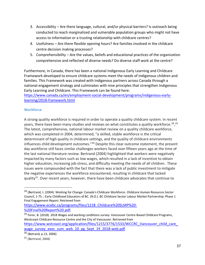- 3. Accessibility Are there language, cultural, and/or physical barriers? Is outreach being conducted to reach marginalized and vulnerable population groups who might not have access to information or a trusting relationship with childcare centres?
- 4. Usefulness Are there flexible opening hours? Are families involved in the childcare centre decision making processes?
- 5. Comprehensibility Are the values, beliefs and educational practices of the organization comprehensive and reflected of diverse needs? Do diverse staff work at the centre?

Furthermore, in Canada, there has been a national Indigenous Early Learning and Childcare Framework developed to ensure childcare systems meet the needs of Indigenous children and families. This Framework was created with Indigenous partners across Canada through a national engagement strategy and culminates with nine principles that strengthen Indigenous Early Learning and Childcare. This Framework can be found here:

[https://www.canada.ca/en/employment-social-development/programs/indigenous-early](https://www.canada.ca/en/employment-social-development/programs/indigenous-early-learning/2018-framework.html)[learning/2018-framework.html](https://www.canada.ca/en/employment-social-development/programs/indigenous-early-learning/2018-framework.html)

### **Workforce**

A strong quality workforce is required in order to operate a quality childcare system. In recent years, there have been many studies and reviews on what constitutes a quality workforce.<sup>28</sup>,<sup>29</sup> The latest, comprehensive, national labour market review on a quality childcare workforce, which was completed in 2004, determined, "a skilled, stable workforce is the critical determinant of high quality in childcare settings, and the quality of childcare environments influences child development outcomes."<sup>30</sup> Despite this clear outcome statement, the present day workforce still faces similar challenges workers faced over fifteen years ago at the time of the last national literature review. Bertrand (2004) highlighted that workers were negatively impacted by many factors such as low wages, which resulted in a lack of incentive to obtain higher education, increasing job stress, and difficulty meeting the needs of all children. These issues were compounded with the fact that there was a lack of public investment to mitigate the negative experiences the workforce encountered, resulting in childcare that lacked quality<sup>31</sup>. Over recent years, however, there have been childcare advocates that continue to

https://www.ecebc.ca/programs/files/1218 Childcare%20SLMP%20-[%20Final%20Report%20.pdf](https://www.ecebc.ca/programs/files/1218_Childcare%20SLMP%20-%20Final%20Report%20.pdf);

<sup>29</sup> Forer, B. (2018). 2018 Wages and working conditions survey: Vancouver Centre-Based Childcare Programs, Westcoast Childcare Resource Centre and the City of Vancouver. Retrieved from https://www.wstcoast.org/application/files/1215/3776/1533/WCCRC\_Vancouver\_child\_care [wage\\_survey\\_exec\\_sum\\_web\\_10\\_pg\\_Sept\\_19\\_2018-web.pdf](https://www.wstcoast.org/application/files/1215/3776/1533/WCCRC_Vancouver_child_care_wage_survey_exec_sum_web_10_pg_Sept_19_2018-web.pdf)

<sup>28</sup> (Bertrand, J. (2004). Working for Change: Canada's Childcare Workforce. *Childcare Human Resources Sector Council*, 1-75. ; Early Childhood Educators of BC. (N.D.). BC Childcare Sector Labour Market Partnership: Phase 1 Final Engagement Report. Retrieved from

<sup>30</sup> (Betrand, p.13, 2004)

<sup>31</sup> (Bertrand, 2004)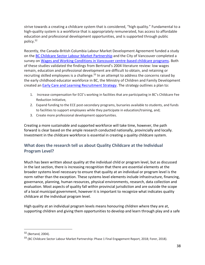strive towards a creating a childcare system that is considered, "high quality." Fundamental to a high-quality system is a workforce that is appropriately remunerated, has access to affordable education and professional development opportunities, and is supported through public policy.<sup>32</sup>

Recently, the Canada-British Columbia Labour Market Development Agreement funded a study on the [BC Childcare Sector Labour Market Partnership](https://www.ecebc.ca/programs/files/1218_Childcare%20SLMP%20-%20Final%20Report%20.pdf) and the City of Vancouver completed a survey on [Wages and Working Conditions in Vancouver centre-based childcare programs.](https://www.wstcoast.org/application/files/1215/3776/1533/WCCRC_Vancouver_child_care_wage_survey_exec_sum_web_10_pg_Sept_19_2018-web.pdf) Both of these studies validated the findings from Bertrand's 2004 literature review: low wages remain, education and professional development are difficult to obtain, and retaining or recruiting skilled employees is a challenge.<sup>33</sup> In an attempt to address the concerns raised by the early childhood educator workforce in BC, the Ministry of Children and Family Development created an [Early Care and Learning Recruitment Strategy.](https://www2.gov.bc.ca/assets/gov/family-and-social-supports/child-care/6337_earlycareandlearningrecruitment_andretentionstrategy_report_web.pdf) The strategy outlines a plan to:

- 1. Increase compensation for ECE's working in facilities that are participating in BC's Childcare Fee Reduction Initiative,
- 2. Expand funding to the ECE post-secondary programs, bursaries available to students, and funds to facilities to support employees while they participate in education/training, and;
- 3. Create more professional development opportunities.

Creating a more sustainable and supported workforce will take time, however, the path forward is clear based on the ample research conducted nationally, provincially and locally. Investment in the childcare workforce is essential in creating a quality childcare system.

# **What does the research tell us about Quality Childcare at the Individual Program Level?**

Much has been written about quality at the individual child or program level, but as discussed in the last section, there is increasing recognition that there are essential elements at the broader systems level necessary to ensure that quality at an individual or program level is the norm rather than the exception. These systems level elements include infrastructure, financing, governance, planning, human resources, physical environments, research, data collection and evaluation. Most aspects of quality fall within provincial jurisdiction and are outside the scope of a local municipal government, however it is important to recognize what indicates quality childcare at the individual program level.

High quality at an individual program levels means honouring children where they are at, supporting children and giving them opportunities to develop and learn through play and a safe

<sup>32</sup> (Bertand, 2004).

<sup>&</sup>lt;sup>33</sup> (BC Childcare Sector Labour Market Partnership: Phase 1 Final Engagement Report, 2018; Forer, 2018).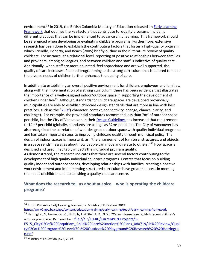environment.<sup>34</sup> In 2019, the British Columbia Ministry of Education released an **Early Learning** [Framework](https://www2.gov.bc.ca/gov/content/education-training/early-learning/teach/early-learning-framework) that outlines the key factors that contribute to quality programs including different practices that can be implemented to advance child learning. This framework should be referenced when developing or evaluating childcare programs. Furthermore, extensive research has been done to establish the contributing factors that foster a high-quality program which Friendly, Doherty, and Beach (2005) briefly outline in their literature review of quality childcare. For instance, at a relational level, reporting of positive relationships between families and providers, among colleagues, and between children and staff is indicative of quality care. Additionally, when staff are more educated, feel appreciated and are well supported, the quality of care increases. Planned programming and a strong curriculum that is tailored to meet the diverse needs of children further enhances the quality of care.

In addition to establishing an overall positive environment for children, employees and families, along with the implementation of a strong curriculum, there has been evidence that illustrates the importance of a well-designed indoor/outdoor space in supporting the development of children under five<sup>35</sup>. Although standards for childcare spaces are developed provincially, municipalities are able to establish childcare design standards that are more in line with best practices, such as the ["7C's"](https://sala.ubc.ca/sites/sala.ubc.ca/files/documents/7Cs.pdf) (character, context, connectivity, change, chance, clarity, and challenge). For example, the provincial standards recommend less than  $7m<sup>2</sup>$  of outdoor space per child, but the City of Vancouver, in their [Design Guidelines](https://vancouver.ca/files/cov/child-design-guidelines.pdf) has increased that requirement to 14 $m<sup>2</sup>$  per child (globally, standards are as high as 32 $m<sup>2</sup>$  per child). The City of Vancouver has also recognized the correlation of well-designed outdoor space with quality individual programs and has taken important steps to improving childcare quality through municipal policy. The design of indoor spaces is important, as, "the arrangement of furniture, structures, and objects in a space sends messages about how people can move and relate to others."<sup>36</sup> How space is designed and used, inevitably impacts the individual program quality. As demonstrated, the research indicates that there are several factors contributing to the

development of high quality individual childcare programs. Centres that focus on building quality indoor and outdoor spaces, developing relationships with families, creating a positive work environment and implementing structured curriculum have greater success in meeting the needs of children and establishing a quality childcare centre.

# **What does the research tell us about auspice – who is operating the childcare programs?**

<sup>&</sup>lt;sup>34</sup> British Columbia Early Learning Framework. Ministry of Education. 2019

<https://www2.gov.bc.ca/gov/content/education-training/early-learning/teach/early-learning-framework> 35 Herrington, S., Lesmeister, C., Nicholls, J., & Stefiuk, K. (N.D.). 7Cs: an informational guide to young children's outdoor play spaces. Retrieved from [file:///T:/10-RC/Current%20Projects/1-](about:blank)

[E515\\_City%20of%20Coquitlam\\_Child%20Care%20Action%20Plans\\_080719/Lit%20Review/Quali](about:blank) [ty%20at%20Program%20Level/7Cs%20Outdoor%20Playground%20Research%20%20Herringto](about:blank) [n.pdf](about:blank)

<sup>&</sup>lt;sup>36</sup> Ministry of Education, p.23, 2019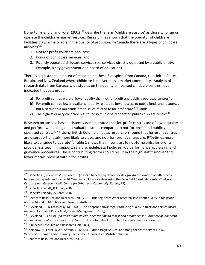Doherty, Friendly, and Forer (2002)<sup>37</sup> describe the term 'childcare auspice' as those who run or operate the childcare market service. Research has shown that the operator of childcare facilities plays a major role in the quality of provision. In Canada there are 3 types of childcare auspices<sup>38</sup>:

- 1. Not for-profit childcare services;
- 2. For-profit childcare services; and,
- 3. Publicly operated childcare services (i.e. services directly operated by a public entity. Example, a city government or a board of education).

There is a substantial amount of research on these 3 auspices from Canada, the United States, Britain, and New Zealand where childcare is delivered as a market commodity. Analysis of research data from Canada-wide studies on the quality of licensed childcare centres have indicated that as a group:

- a) For profit centres were of lower quality than not for-profit and publicly operated centres<sup>39</sup>;
- **b)** For profit centres lower quality is not only related to lower access to public funds and resources but also due to a multitude other issues related to for-profit care<sup>40,41</sup>, and;
- c) The highest quality childcare was found in municipally operated public childcare centres<sup>42</sup>.

Research on auspice has consistently demonstrated that for-profit centres are of lower quality and perform worse on global evaluation scales compared to not-for-profit and publicly operated centres. <sup>43,44</sup> Using British Columbian data, researchers found that for-profit centres are disproportionately more likely to close, and not- for- profit centres are, 97% times more likely to continue to operate<sup>45</sup>. Table 1 shows that in contrast to not-for-profits, for-profits provide less teaching support, salary schedule, staff policies, job performance appraisals, and grievance procedures. These contributing factors could result in the high staff turnover and lower morale present within for-profits.

<sup>&</sup>lt;sup>37</sup> (Doherty, G., Friendly, M., & Forer, B. (2002). Childcare by default or design? An exploration of differences between non-profit and for-profit Canadian childcare centres using the "You Bet I Care!" data sets. *Childcare Resource and Research Unit, Centre for Urban and Community Studies*, 75).

<sup>38 (</sup>Doherty, Friendly, & Forer, 2002).

<sup>39 (</sup>Doherty, Friendly, & Forer, 2002).

<sup>&</sup>lt;sup>40</sup> (Childcare Resource and Research Unit, (2011). Briefing Note: What research says about quality in for-profit, non-profit and public childcare. Toronto: Author).

<sup>&</sup>lt;sup>41</sup> (Cleveland, G., & Krashinsky, M. (2009). The nonprofit advantage: Producing quality in thick and thin childcare markets. Journal of Policy Analysis and Management, 28(3))

<sup>42</sup> (Cleveland, G. (2008). *If it don't make dollars, does that mean that it don't make sense? Commercial, nonprofit and municipal childcare in the city of Toronto.* Toronto: City of Toronto, Children's Services Division).

<sup>&</sup>lt;sup>43</sup> (Childcare Resource and Research Unit, 2011).

<sup>44</sup> (Kershaw, P., Forer, B. & Goelman, H. (2004). Hidden fragility: Closure among childcare services in BC. Vancouver: Human Early Learning Partnership, University of British Columbia).

<sup>&</sup>lt;sup>45</sup> Childcare Resource and Research Unit, 2011.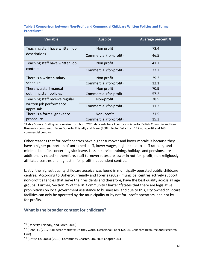**Table 1 Comparison between Non-Profit and Commercial Childcare Written Policies and Formal Procedures\***

| <b>Variable</b>                       | <b>Auspice</b>          | <b>Average percent %</b> |  |  |  |
|---------------------------------------|-------------------------|--------------------------|--|--|--|
| Teaching staff have written job       | Non profit              | 73.4                     |  |  |  |
| descriptions                          | Commercial (for-profit) | 46.5                     |  |  |  |
| Teaching staff have written job       | Non profit              | 41.7                     |  |  |  |
| contracts                             | Commercial (for-profit) | 22.2                     |  |  |  |
| There is a written salary             | Non profit              | 29.2                     |  |  |  |
| schedule                              | Commercial (for-profit) | 12.1                     |  |  |  |
| There is a staff manual               | Non profit              | 70.9                     |  |  |  |
| outlining staff policies              | Commercial (for-profit) | 57.2                     |  |  |  |
| Teaching staff receive regular        | Non-profit              | 38.5                     |  |  |  |
| written job performance<br>appraisals | Commercial (for-profit) | 11.2                     |  |  |  |
| There is a formal grievance           | Non-profit              | 31.5                     |  |  |  |
| procedure                             | Commercial (for-profit) | 15.3                     |  |  |  |

\*Table Source: Staff questionnaire from both *YBIC!* data sets for all centres in Alberta, British Columbia and New Brunswick combined. From Doherty, Friendly and Forer (2002). Note: Data from 147 non-profit and 163 commercial centres.

Other reasons that for-profit centres have higher turnover and lower morale is because they have a higher proportion of untrained staff, lower wages, higher child to staff ratios<sup>46</sup>, and minimal benefits concerning sick leave. Less in-service training, holidays and pensions, are additionally noted<sup>47</sup>; therefore, staff turnover rates are lower in not for -profit, non-religiously affiliated centres and highest in for-profit independent centres.

Lastly, the highest quality childcare auspice was found in municipally operated public childcare centres. According to Doherty, Friendly and Forer's (2002), municipal centres actively support non-profit agencies that serve their residents and therefore, have the best quality across all age groups. Further, Section 25 of the BC Community Charter <sup>48</sup>states that there are legislative prohibitions on local government assistance to businesses, and due to this, city owned childcare facilities can only be operated by the municipality or by not for -profit operators, and not by for-profits.

# **What is the broader context for childcare?**

<sup>46</sup> (Doherty, Friendly, and Forer, 2002).

<sup>47</sup> (Penn, H. (2012) Childcare markets: Do they work? Occasional Paper No. 26. Childcare Resource and Research Unit)

<sup>&</sup>lt;sup>48</sup> (British Columbia (2019). Community Charter, SBC 2003 Chapter 26.)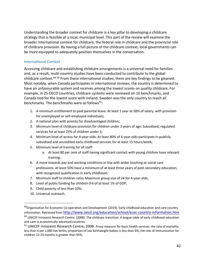Understanding the broader context for childcare is a key pillar to developing a childcare strategy that is feasible at a local, municipal level. This part of the review will examine the broader international context for childcare, the federal role in childcare and the provincial role of childcare provision. By having a full picture of the childcare context, local governments can be more equipped to adequately position themselves in the conversation.

#### **International Context**

Accessing childcare and establishing childcare arrangements is a universal need for families and, as a result, multi-country studies have been conducted to contribute to the global childcare context.<sup>49 50</sup> From these international studies, there are key findings to be gleaned. Most notably, when Canada participates in international reviews, the country is determined to have an unfavourable system and receives among the lowest scores on quality childcare. For example, in 25 OECD countries, childcare systems were reviewed on 10 benchmarks, and Canada tied for the lowest score with Ireland. Sweden was the only country to reach all benchmarks. The benchmarks were as follows $51$ :

- 1. A minimum entitlement to paid parental leave: At least 1 year at 50% of salary, with provision for unemployed or self-employed individuals;
- 2. A national plan with priority for disadvantaged children;
- 3. Minimum level of childcare provision for children under 3 years of age: Subsidized, regulated services for at least 25% of children under 3;
- 4. Minimum level of access for 4-year-olds: At least 80% of 4-year-olds participate in publicly subsidized and accredited early childhood services for at least 15 hours/week;
- 5. Minimum level of training for all staff:
	- a. At least 80 per cent of staff having significant contact with young children have relevant training;
- 6. A move towards pay and working conditions in line with wider teaching or social care professions: At least 50% have a minimum of at least three years of post-secondary education, with recognized qualification in early childhood;
- 7. Minimum staff to children ratio: Maximum group size of 24 for 4-year-olds;
- 8. Level of public funding for children 0-6 of at least 1% of GDP;
- 9. Child poverty of less than 10%;
- 10. Universal outreach.

<sup>&</sup>lt;sup>49</sup>Organisation for Economic Co-operation and Development. (2019). Early childhood education and care-country information. Retrieved from <http://www.oecd.org/education/school/ecec-country-information.htm>

<sup>&</sup>lt;sup>50</sup> UNICEF Innocenti Research Centre. (2008). The childcare transition: A league table of early childhood education and care in economically advanced countries

<sup>&</sup>lt;sup>51</sup> UNICEF Innocenti Research Centre, 2008. Proxy measure for basic health services: the rate of mortality less than 4 per 1,000 live births; proportion of low birthweight babies is less than 6%; the rate of immunization for children 12-23 months is greater than 95%.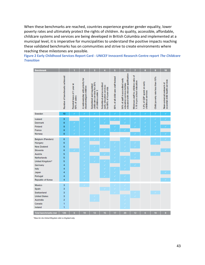When these benchmarks are reached, countries experience greater gender equality, lower poverty rates and ultimately protect the rights of children. As quality, accessible, affordable, childcare systems and services are being developed in British Columbia and implemented at a municipal level, it is imperative for municipalities to understand the positive impacts reaching these validated benchmarks has on communities and strive to create environments where reaching these milestones are possible.

**Figure 2 Early Childhood Services Report Card - UNICEF Innocenti Research Centre report** *The Childcare Transition*

| <b>Benchmark</b>                                                                                                                                                                         |                                                                | 1                                            | 2                                                           | $\overline{\mathbf{3}}$                                                        | 4                                                                              | 5                                         | 6                                                                                                       | $\overline{1}$                                                     | 8                                                | 9                                | 10                                                            |
|------------------------------------------------------------------------------------------------------------------------------------------------------------------------------------------|----------------------------------------------------------------|----------------------------------------------|-------------------------------------------------------------|--------------------------------------------------------------------------------|--------------------------------------------------------------------------------|-------------------------------------------|---------------------------------------------------------------------------------------------------------|--------------------------------------------------------------------|--------------------------------------------------|----------------------------------|---------------------------------------------------------------|
|                                                                                                                                                                                          | Number of benchmarks achieved                                  | Parental leave of 1 year at<br>50% of salary | A national plan with priority for<br>disadvantaged children | child care services for 25%<br>Subsidized and regulated<br>of children under 3 | Subsidized and accredited<br>early education services<br>for 80% of 4year-olds | 80% of all child care staff trained       | educated with relevant qualification<br>50% of staff in accredited early<br>education services tertiary | Minimum staff-to-children ratio of<br>1:15 in pre-school education | 1.0% of GDP spent on early<br>childhood services | Child poverty rate less than 10% | essential child health services<br>Near-universal outreach of |
| Sweden                                                                                                                                                                                   | 10                                                             | √                                            | √                                                           | √                                                                              | √                                                                              | ¥                                         | ∢                                                                                                       | √                                                                  | √                                                | ✓                                | ✓                                                             |
| Iceland<br>Denmark<br>Finland<br>France<br>Norway                                                                                                                                        | 9<br>8<br>8<br>8<br>8                                          | √<br>√<br>√<br>V                             | V<br>٧<br>V                                                 | √<br>√<br>√<br>√<br>√                                                          | V                                                                              | √<br>V                                    |                                                                                                         | √<br>√                                                             | V<br>√                                           | ✓<br>✓<br>✓<br>√                 | ✓                                                             |
| <b>Belgium (Flanders)</b><br>Hungary<br><b>New Zealand</b><br>Slovenia<br>Austria<br><b>Netherlands</b><br>United Kingdom*<br>Germany<br>Italy<br>Japan<br>Portugal<br>Republic of Korea | 6<br>6<br>6<br>6<br>5<br>5<br>5<br>4<br>4<br>4<br>4<br>4       |                                              | V<br>V<br>V<br>V<br>٧<br>۷<br>V<br>V<br>٧                   | ✓<br>√<br>V                                                                    |                                                                                | ✓<br>V<br>√<br>√<br>√<br>✓<br>✓<br>√<br>√ | V<br>V<br>V<br>۷                                                                                        | ✓<br>¥<br>✓<br>✓                                                   |                                                  |                                  |                                                               |
| Mexico<br>Spain<br>Switzerland<br><b>United States</b><br><b>Australia</b><br>Canada<br>Ireland<br><b>Total benchmarks met</b>                                                           | 3<br>3<br>3<br>3<br>$\overline{2}$<br>1<br>$\mathbf{1}$<br>126 | 6                                            | $\checkmark$<br>19                                          | 13                                                                             | 15                                                                             | 17                                        | V<br>$\overline{\phantom{a}}$<br>$\checkmark$<br>20                                                     | 12                                                                 | 6                                                | 10                               | 8                                                             |

\*Data for the United Kingdom refer to England only.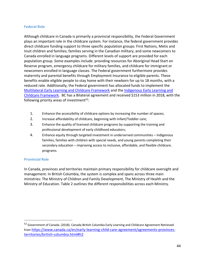#### **Federal Role**

Although childcare in Canada is primarily a provincial responsibility, the Federal Government plays an important role in the childcare system. For instance, the federal government provides direct childcare funding support to three specific population groups: First Nations, Metis and Inuit children and families; families serving in the Canadian military; and some newcomers to Canada enrolled in language programs. Different levels of support are provided for each population group. Some examples include providing resources for Aboriginal Head Start on Reserve program, emergency childcare for military families, and childcare for immigrant or newcomers enrolled in language classes. The Federal government furthermore provides maternity and parental benefits through Employment Insurance to eligible parents. These benefits enable eligible people to stay home with their newborn for up to 18 months, with a reduced rate. Additionally, the Federal government has allocated funds to implement the [Multilateral Early Learning and Childcare Framework](https://www.canada.ca/en/employment-social-development/programs/early-learning-child-care/reports/2017-multilateral-framework.html) and the [Indigenous Early Learning and](https://www.canada.ca/en/employment-social-development/programs/indigenous-early-learning/2018-framework.html)  [Childcare Framework.](https://www.canada.ca/en/employment-social-development/programs/indigenous-early-learning/2018-framework.html) BC has a Bilateral agreement and received \$153 million in 2018, with the following priority areas of investment $52$ :

- 1. Enhance the accessibility of childcare options by increasing the number of spaces;
- 2. Increase affordability of childcare, beginning with Infant/Toddler care;
- 3. Enhance the quality of licensed childcare programs by supporting the training and professional development of early childhood educators;
- 4. Enhance equity through targeted investment in underserved communities Indigenous families, families with children with special needs, and young parents completing their secondary education – improving access to inclusive, affordable, and flexible childcare. programs

#### **Provincial Role**

In Canada, provinces and territories maintain primary responsibility for childcare oversight and management. In British Columbia, the system is complex and spans across three main ministries: The Ministry of Children and Family Development, The Ministry of Health and the Ministry of Education. Table 2 outlines the different responsibilities across each Ministry.

<sup>52</sup> Government of Canada. (2018). Canada-British Columbia Early Learning and Childcare Agreement Retrieved from [https://www.canada.ca/en/early-learning-child-care-agreement/agreements-provinces](https://www.canada.ca/en/early-learning-child-care-agreement/agreements-provinces-territories/british-columbia.html#h2)[territories/british-columbia.html#h2](https://www.canada.ca/en/early-learning-child-care-agreement/agreements-provinces-territories/british-columbia.html#h2)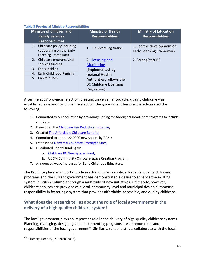#### **Table 3 Provincial Ministry Responsibilities**

| <b>Ministry of Children and</b><br><b>Family Services</b><br><b>Responsibilities</b> | <b>Ministry of Health</b><br><b>Responsibilities</b>                     | <b>Ministry of Education</b><br><b>Responsibilities</b>      |  |  |  |  |
|--------------------------------------------------------------------------------------|--------------------------------------------------------------------------|--------------------------------------------------------------|--|--|--|--|
| Childcare policy including<br>1.<br>cooperating on the Early<br>Learning Framework   | Childcare legislation<br>1.                                              | 1. Led the development of<br><b>Early Learning Framework</b> |  |  |  |  |
| Childcare programs and<br>2.<br>services funding                                     | 2. Licensing and<br><b>Monitoring</b>                                    | 2. StrongStart BC                                            |  |  |  |  |
| Fee subsidies<br>3.                                                                  | (implemented by                                                          |                                                              |  |  |  |  |
| <b>Early Childhood Registry</b><br>4.                                                | regional Health                                                          |                                                              |  |  |  |  |
| Capital funds<br>5.                                                                  | Authorities, follows the<br><b>BC Childcare Licensing</b><br>Regulation) |                                                              |  |  |  |  |

After the 2017 provincial election, creating universal, affordable, quality childcare was established as a priority. Since the election, the government has completed/created the following:

- 1. Committed to reconciliation by providing funding for Aboriginal Head Start programs to include childcare;
- 2. Developed the [Childcare Fee Reduction initiative;](https://www2.gov.bc.ca/gov/content/family-social-supports/caring-for-young-children/running-daycare-preschool/child-care-operating-funding/child-care-fee-reduction-initiative-provider-opt-in-status)
- 3. Created [The Affordable Childcare Benefit;](https://www2.gov.bc.ca/gov/content/family-social-supports/caring-for-young-children/child-care-funding/child-care-benefit)
- 4. Committed to create 22,0000 new spaces by 2021;
- 5. Establishe[d Universal Childcare Prototype Sites;](https://www2.gov.bc.ca/gov/content/family-social-supports/caring-for-young-children/running-daycare-preschool/universal-child-care-prototype-sites)
- 6. Distributed Capital funding via:
	- a. [Childcare BC New Spaces Fund;](https://www2.gov.bc.ca/gov/content/family-social-supports/caring-for-young-children/running-daycare-preschool/childcare-new-spaces-fund)
	- b. UBCM Community Childcare Space Creation Program;
- 7. Announced wage increases for Early Childhood Educators.

The Province plays an important role in advancing accessible, affordable, quality childcare programs and the current government has demonstrated a desire to enhance the existing system in British Columbia through a multitude of new initiatives. Ultimately, however, childcare services are provided at a local, community level and municipalities hold immense responsibility in fostering a system that provides affordable, accessible, and quality childcare.

# **What does the research tell us about the role of local governments in the delivery of a high quality childcare system?**

The local government plays an important role in the delivery of high-quality childcare systems. Planning, managing, designing, and implementing programs are common roles and responsibilities of the local government<sup>53</sup>. Similarly, school districts collaborate with the local

<sup>&</sup>lt;sup>53</sup> (Friendly, Doherty, & Beach, 2005).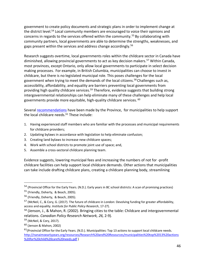government to create policy documents and strategic plans in order to implement change at the district level.<sup>54</sup> Local community members are encouraged to voice their opinions and concerns in regards to the services offered within the community.<sup>55</sup> By collaborating with community partners, local governments are able to determine the strengths, weaknesses, and gaps present within the services and address change accordingly.<sup>56</sup>

Research suggests overtime, local governments roles within the childcare sector in Canada have diminished, allowing provincial governments to act as key decision makers.<sup>57</sup> Within Canada, most provinces, except Ontario, only allow local governments to participate in select decision making processes. For example, in British Columbia, municipalities can choose to invest in childcare, but there is no legislated municipal role. This poses challenges for the local government when trying to meet the demands of the local citizens.<sup>58</sup> Challenges such as, accessibility, affordability, and equality are barriers preventing local governments from providing high quality childcare services.<sup>59</sup> Therefore, evidence suggests that building strong intergovernmental relationships can help eliminate many of these challenges and help local governments provide more equitable, high-quality childcare services. <sup>60</sup>

Several [recommendations](http://nanaimoearlyyears.org/resources/Research%20and%20Resources/municipalities%20top%2013%20actions%20for%20child%20care%20needs.pdf) have been made by the Province, for municipalities to help support the local childcare needs. $61$  These include:

- 1. Having experienced staff members who are familiar with the processes and municipal requirements for childcare providers;
- 2. Updating bylaws in accordance with legislation to help eliminate confusion;
- 3. Creating land bylaws to increase new childcare spaces;
- 4. Work with school districts to promote joint use of space; and,
- 5. Assemble a cross-sectoral childcare planning team.

Evidence suggests, lowering municipal fees and increasing the numbers of not for -profit childcare facilities can help support local childcare demands. Other actions that municipalities can take include drafting childcare plans, creating a childcare planning body, streamlining

<sup>54</sup> (Provincial Office for the Early Years. (N.D.). Early years in BC school districts: A scan of promising practices)

<sup>55</sup> (Friendly, Doherty, & Beach, 2005).

<sup>56</sup> (Friendly, Doherty, & Beach, 2005).

<sup>57</sup> (McNeil, C., & Cory, G. (2017). The future of childcare in London: Devolving funding for greater affordability, access and equality. *Institute for Public Policy Research*, 17-27).

<sup>58</sup> (Jenson, J., & Mahon, R. (2002). Bringing cities to the table: Childcare and intergovernmental relations. *Canadian Policy Research Network, 26,* 2-9)*.*

<sup>59</sup> (McNeil, & Cory, 2017).

<sup>60</sup> (Jenson & Mahon, 2002)

 $61$ (Provincial Office for the Early Years. (N.D.). Municipalities: Top 13 actions to support local childcare needs. [http://nanaimoearlyyears.org/resources/Research%20and%20Resources/municipalities%20top%2013%20actions](http://nanaimoearlyyears.org/resources/Research%20and%20Resources/municipalities%20top%2013%20actions%20for%20child%20care%20needs.pdf) [%20for%20child%20care%20needs.pdf](http://nanaimoearlyyears.org/resources/Research%20and%20Resources/municipalities%20top%2013%20actions%20for%20child%20care%20needs.pdf) )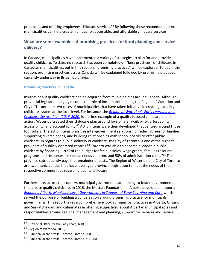processes, and offering employees childcare services.<sup>62</sup> By following these recommendations, municipalities can help create high quality, accessible, and affordable childcare services.

# **What are some examples of promising practices for local planning and service delivery?**

In Canada, municipalities have implemented a variety of strategies to plan for and provide quality childcare. To date, no research has been completed on "best practices" of childcare in Canadian municipalities, but in this section, "promising practices" will be explored. To begin this section, promising practices across Canada will be explained followed by promising practices currently underway in British Columbia.

#### **Promising Practices in Canada**

Insights about quality childcare can be acquired from municipalities around Canada. Although provincial legislation largely dictates the role of local municipalities, the Region of Waterloo and City of Toronto are two cases of municipalities that have taken initiative in creating a quality childcare system at the local level. For instance, the *Region of Waterlo[o's Early Learning and](https://www.regionofwaterloo.ca/en/living-here/resources/Documents/Childrens-Services-/2016-2020-ELCC-Service-Plan-Accessible.pdf)  [Childcare Service Plan \(2016-2020\)](https://www.regionofwaterloo.ca/en/living-here/resources/Documents/Childrens-Services-/2016-2020-ELCC-Service-Plan-Accessible.pdf)* is a prime example of a quality focused childcare plan in action. Waterloo created their childcare plan around four pillars: availability, affordability, accessibility, and accountability.<sup>63</sup> Action items were then developed that centred around those four pillars. The action items prioritize inter-government relationship, reducing fees for families, supporting diverse needs, and building relationships with school boards to offer public childcare. In regards to public delivery of childcare, the City of Toronto is one of the highest providers of publicly operated centres.<sup>64</sup> Toronto was able to become a leader in public childcare by financing, "20% of the budget for fee subsidies, wage grants, families resource programs and resources for special needs children, and 50% of administration costs."<sup>65</sup> The province subsequently pays the remainder of costs. The Region of Waterloo and City of Toronto are two municipalities that have leveraged provincial legislation to meet the needs of their respective communities regarding quality childcare.

Furthermore, across the country, municipal governments are hoping to foster environments that create quality childcare. In 2016, the Muttart Foundation in Alberta developed a report: *[Engaging Alberta Municipal Level Governments in Support of Early Learning and Care](https://www.muttart.org/wp-content/uploads/2017/02/Engaging-Alberta-Municipal-Level-Governments-122016.pdf)* which served the purpose of building a conversation around promising practice for municipals governments. This report takes a comprehensive look at municipal practices in Alberta, Ontario, and Saskatchewan, and culminates in offering suggestions about Albertan municipal roles and responsibilities around regional management and planning, support for services and service

<sup>62</sup> (Provincial Office for the Early Years, N.D)

<sup>&</sup>lt;sup>63</sup> (Region of Waterloo, 2016)

<sup>64</sup> (Public childcare profile: Toronto, Ontario, 2009)

<sup>65</sup> (Public childcare profile: Toronto, Ontario, p.1, 2009)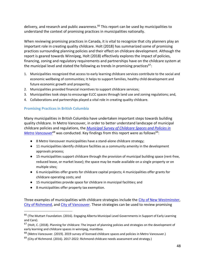delivery, and research and public awareness. $66$  This report can be used by municipalities to understand the context of promising practices in municipalities nationally.

When reviewing promising practices in Canada, it is vital to recognize that city planners play an important role in creating quality childcare. Holt (2018) has summarized some of promising practices surrounding planning policies and their effect on childcare development. Although the report is geared towards Winnipeg, Holt (2018) effectively explores the impact of policies, financing, zoning and regulatory requirements and partnerships have on the childcare system at the municipal level and stated the following as trends in promising practices<sup>67</sup>:

- 1. Municipalities recognized that access to early learning childcare services contribute to the social and economic wellbeing of communities; it helps to support families, healthy child development and future economic growth and prosperity;
- 2. Municipalities provided financial incentives to support childcare services;
- 3. Municipalities took steps to encourage ELCC spaces through land use and zoning regulations; and,
- 4. Collaborations and partnerships played a vital role in creating quality childcare.

### **Promising Practices in British Columbia**

Many municipalities in British Columbia have undertaken important steps towards building quality childcare. In Metro Vancouver, in order to better understand landscape of municipal childcare policies and regulations, the *[Municipal Survey of Childcare Spaces and Policies in](http://www.metrovancouver.org/services/regional-planning/PlanningPublications/2019_Survey_of_Licensed_Child_Care_Spaces_Policies_Metro_Vancouver.pdf)  [Metro Vancouver](http://www.metrovancouver.org/services/regional-planning/PlanningPublications/2019_Survey_of_Licensed_Child_Care_Spaces_Policies_Metro_Vancouver.pdf)*<sup>68</sup> was conducted. Key findings from this report were as follows<sup>69</sup>:

- 8 Metro Vancouver municipalities have a stand-alone childcare strategy;
- 11 municipalities identify childcare facilities as a community amenity in the development approvals process;
- 15 municipalities support childcare through the provision of municipal building space (rent-free, reduced lease, or market lease); the space may be made available on a single property or on multiple sites;
- 6 municipalities offer grants for childcare capital projects; 4 municipalities offer grants for childcare operating costs; and
- 15 municipalities provide space for childcare in municipal facilities; and
- 8 municipalities offer property tax exemption.

Three examples of municipalities with childcare strategies include the [City of New Westminster,](https://www.newwestcity.ca/database/files/library/Child_Care_Strategy_October_2016.pdf) [City of Richmond,](https://www.richmond.ca/__shared/assets/2017-2022_Richmond_Child_Care_Needs_Assessment_and_Strategy48036.pdf) and [City of Vancouver.](https://vancouver.ca/people-programs/vancouvers-childcare-approach.aspx) These strategies can be used to review promising

<sup>66</sup> (The Muttart Foundation. (2016). Engaging Alberta Municipal Level Governments in Support of Early Learning and Care).

 $67$  (Holt, C. (2018). Planning for childcare: The impact of planning policies and strategies on the development of early learning and childcare spaces in winnipeg, manitboa.

<sup>&</sup>lt;sup>68</sup> (Metro Vancouver. (2019). 2019 survey of licensed childcare spaces and policies in Metro Vancouver.)

 $69$  (City of Richmond. (2016). 2017-2022: Richmond childcare needs assessment and strategy.)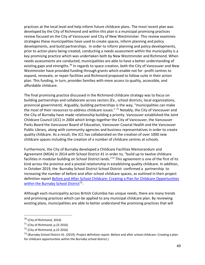practices at the local level and help inform future childcare plans. The most recent plan was developed by the City of Richmond and within this plan is a municipal promising practices review focused on the City of Vancouver and City of New Westminster. This review examines strategies these municipalities have used to create spaces, inform planning and policy developments, and build partnerships. In order to inform planning and policy developments, prior to action plans being created, conducting a needs assessment within the municipality is a key promising practice which was undertaken both by New Westminster and Richmond. When needs assessments are conducted, municipalities are able to have a better understanding of existing gaps and strengths.<sup>70</sup> In regards to space creation, both the City of Vancouver and New Westminster have provided funding through grants which enable not for -profit centres to expand, renovate, or repair facilities and Richmond proposed to follow suite in their action plan. This funding, in turn, provides families with more access to quality, accessible, and affordable childcare.

The final promising practice discussed in the Richmond childcare strategy was to focus on building partnerships and collaborate across sectors (Ex., school districts, local organizations, provincial government). Arguably, building partnerships is the way, "municipalities can make the most of their resources to address childcare issues." <sup>71</sup> Notably, the City of Vancouver and the City of Burnaby have made relationship building a priority. Vancouver established the Joint Childcare Council (JCC) in 2004 which brings together the City of Vancouver, the Vancouver Parks Board the Vancouver Board of Education, Vancouver Coastal Health and the Vancouver Public Library, along with community agencies and business representatives in order to create quality childcare. As a result, the JCC has collaborated on the creation of over 1000 new childcare spaces including the creation of a number of childcare centres at schools.

Furthermore, the City of Burnaby developed a Childcare Facilities Memorandum and Agreement (MOA) in 2014 with School District 41 in order to, "build up to twelve childcare facilities in modular building on School District lands."<sup>72</sup> This agreement is one of the first of its kind across the province and a pivotal relationship in establishing quality childcare. In addition, in October 2019, the Burnaby School District School District confirmed a partnership to increasing the number of before and after school childcare spaces, as outlined in their project definition report [Before and After School Childcare: Creating a Plan for Childcare Opportunities](https://burnabyschools.ca/wp-content/uploads/2019/10/PDR-Childcare-Final-combined-version-20191016.pdf)  [within the Burnaby School District](https://burnabyschools.ca/wp-content/uploads/2019/10/PDR-Childcare-Final-combined-version-20191016.pdf)<sup>73</sup>.

Although each municipality across British Columbia has unique needs, there are many trends and promising practices which can be applied to any municipal childcare plan. By reviewing existing plans, municipalities are able to better understand the promising practices that will

<sup>70</sup> (City of Richmond, 2016)

 $71$  (City of Richmond, p.23 2016)

<sup>72</sup> (City of Richmond, p.23 2016)

<sup>&</sup>lt;sup>73</sup> (Burnaby School District 41. (2019). Project definition report: Before and after school childcare: Creating a plan for childcare opportunities within the Burnaby school district.)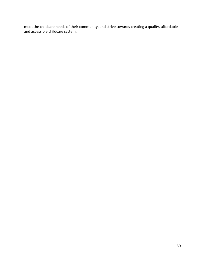meet the childcare needs of their community, and strive towards creating a quality, affordable and accessible childcare system.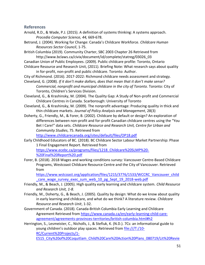# **References**

- Arnold, R.D., & Wade, P.J. (2015). A definition of systems thinking: A systems approach. *Procedia Computer Science, 44,* 669-678.
- Betrand, J. (2004). Working for Change: Canada's Childcare Workforce. *Childcare Human Resources Sector Council*, 1-75.

British Columbia (2019). Community Charter, SBC 2003 Chapter 26 Retrieved from http://www.bclaws.ca/civix/document/id/complete/statreg/03026\_03

- Canadian Union of Public Employees. (2009). Public childcare profile: Toronto, Ontario
- Childcare Resource and Research Unit, (2011). Briefing Note: What research says about quality in for-profit, non-profit and public childcare. Toronto: Author.
- City of Richmond. (2016). 2017-2022: Richmond childcare needs assessment and strategy.
- Cleveland, G. (2008). *If it don't make dollars, does that mean that it don't make sense? Commercial, nonprofit and municipal childcare in the city of Toronto.* Toronto: City of Toronto, Children's Services Division.
- Cleveland, G., & Krashinsky, M. (2004). The Quality Gap: A Study of Non-profit and Commercial Childcare Centres in Canada. Scarborough: University of Toronto
- Cleveland, G., & Krashinsky, M. (2009). The nonprofit advantage: Producing quality in thick and thin childcare markets. *Journal of Policy Analysis and Management*, 28(3)
- Doherty, G., Friendly, M., & Forer, B. (2002). Childcare by default or design? An exploration of differences between non-profit and for-profit Canadian childcare centres using the "You Bet I Care!" data sets. *Childcare Resource and Research Unit, Centre for Urban and Community Studies*, 75. Retrieved from

<http://www.childcarecanada.org/sites/default/files/OP18.pdf>

- Early Childhood Educators of BC. (2018). BC Childcare Sector Labour Market Partnership: Phase 1 Final Engagement Report. Retrieved from [https://www.ecebc.ca/programs/files/1218\\_Childcare%20SLMP%20-](https://www.ecebc.ca/programs/files/1218_Childcare%20SLMP%20-%20Final%20Report%20.pdf) [%20Final%20Report%20.pdf](https://www.ecebc.ca/programs/files/1218_Childcare%20SLMP%20-%20Final%20Report%20.pdf)
- Forer, B. (2018). 2018 Wages and working conditions survey: Vancouver Centre-Based Childcare Programs, Westcoast Childcare Resource Centre and the City of Vancouver. Retrieved from

[https://www.wstcoast.org/application/files/1215/3776/1533/WCCRC\\_Vancouver\\_child](https://www.wstcoast.org/application/files/1215/3776/1533/WCCRC_Vancouver_child_care_wage_survey_exec_sum_web_10_pg_Sept_19_2018-web.pdf) care wage survey exec sum web 10 pg Sept 19 2018-web.pdf

- Friendly, M., & Beach, J. (2005). High quality early learning and childcare system. *Child Resource and Research Unit, 1-8.*
- Friendly, M., Doherty, G., & Beach, J. (2005). Quality by design: What do we know about quality in early learning and childcare, and what do we think? A literature review. *Childcare Resource and Research Unit*, 1-32.
- Government of Canada. (2018). Canada-British Columbia Early Learning and Childcare Agreement Retrieved from [https://www.canada.ca/en/early-learning-child-care](https://www.canada.ca/en/early-learning-child-care-agreement/agreements-provinces-territories/british-columbia.html#h2)[agreement/agreements-provinces-territories/british-columbia.html#h2](https://www.canada.ca/en/early-learning-child-care-agreement/agreements-provinces-territories/british-columbia.html#h2)
- Herrington, S., Lesmeister, C., Nicholls, J., & Stefiuk, K. (N.D.). 7Cs: an informational guide to young children's outdoor play spaces. Retrieved from [file:///T:/10-](about:blank) [RC/Current%20Projects/1-](about:blank)